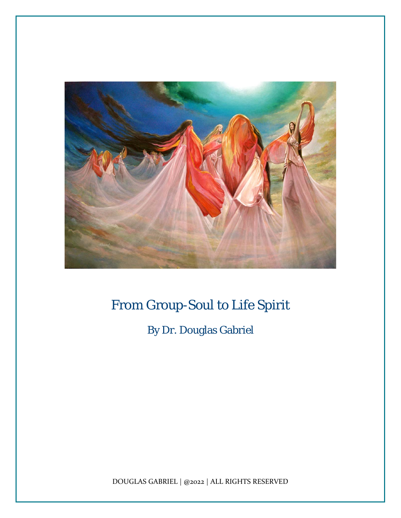

# From Group-Soul to Life Spirit

By Dr. Douglas Gabriel

DOUGLAS GABRIEL | @2022 | ALL RIGHTS RESERVED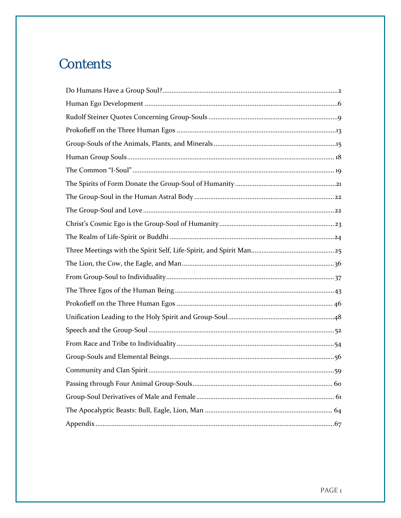# **Contents**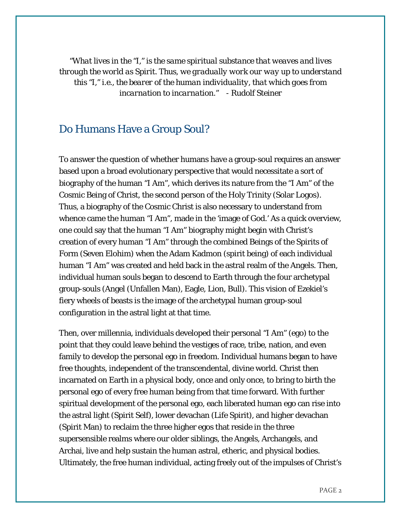*"What lives in the "I," is the same spiritual substance that weaves and lives through the world as Spirit. Thus, we gradually work our way up to understand this "I," i.e., the bearer of the human individuality, that which goes from incarnation to incarnation." -* Rudolf Steiner

### Do Humans Have a Group Soul?

To answer the question of whether humans have a group-soul requires an answer based upon a broad evolutionary perspective that would necessitate a sort of biography of the human "I Am", which derives its nature from the "I Am" of the Cosmic Being of Christ, the second person of the Holy Trinity (Solar Logos). Thus, a biography of the Cosmic Christ is also necessary to understand from whence came the human "I Am", made in the 'image of God.' As a quick overview, one could say that the human "I Am" biography might begin with Christ's creation of every human "I Am" through the combined Beings of the Spirits of Form (Seven Elohim) when the Adam Kadmon (spirit being) of each individual human "I Am" was created and held back in the astral realm of the Angels. Then, individual human souls began to descend to Earth through the four archetypal group-souls (Angel (Unfallen Man), Eagle, Lion, Bull). This vision of Ezekiel's fiery wheels of beasts is the image of the archetypal human group-soul configuration in the astral light at that time.

Then, over millennia, individuals developed their personal "I Am" (ego) to the point that they could leave behind the vestiges of race, tribe, nation, and even family to develop the personal ego in freedom. Individual humans began to have free thoughts, independent of the transcendental, divine world. Christ then incarnated on Earth in a physical body, once and only once, to bring to birth the personal ego of every free human being from that time forward. With further spiritual development of the personal ego, each liberated human ego can rise into the astral light (Spirit Self), lower devachan (Life Spirit), and higher devachan (Spirit Man) to reclaim the three higher egos that reside in the three supersensible realms where our older siblings, the Angels, Archangels, and Archai, live and help sustain the human astral, etheric, and physical bodies. Ultimately, the free human individual, acting freely out of the impulses of Christ's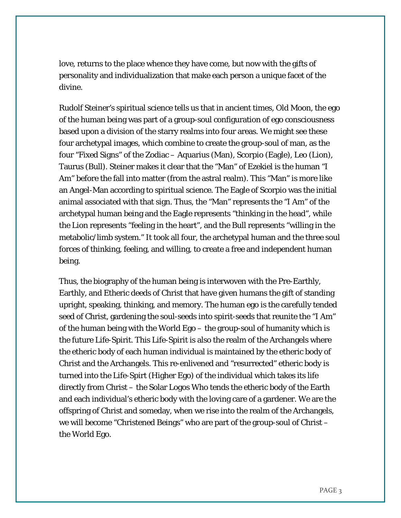love, returns to the place whence they have come, but now with the gifts of personality and individualization that make each person a unique facet of the divine.

Rudolf Steiner's spiritual science tells us that in ancient times, Old Moon, the ego of the human being was part of a group-soul configuration of ego consciousness based upon a division of the starry realms into four areas. We might see these four archetypal images, which combine to create the group-soul of man, as the four "Fixed Signs" of the Zodiac – Aquarius (Man), Scorpio (Eagle), Leo (Lion), Taurus (Bull). Steiner makes it clear that the "Man" of Ezekiel is the human "I Am" before the fall into matter (from the astral realm). This "Man" is more like an Angel-Man according to spiritual science. The Eagle of Scorpio was the initial animal associated with that sign. Thus, the "Man" represents the "I Am" of the archetypal human being and the Eagle represents "thinking in the head", while the Lion represents "feeling in the heart", and the Bull represents "willing in the metabolic/limb system." It took all four, the archetypal human and the three soul forces of thinking, feeling, and willing, to create a free and independent human being.

Thus, the biography of the human being is interwoven with the Pre-Earthly, Earthly, and Etheric deeds of Christ that have given humans the gift of standing upright, speaking, thinking, and memory. The human ego is the carefully tended seed of Christ, gardening the soul-seeds into spirit-seeds that reunite the "I Am" of the human being with the World Ego – the group-soul of humanity which is the future Life-Spirit. This Life-Spirit is also the realm of the Archangels where the etheric body of each human individual is maintained by the etheric body of Christ and the Archangels. This re-enlivened and "resurrected" etheric body is turned into the Life-Spirt (Higher Ego) of the individual which takes its life directly from Christ – the Solar Logos Who tends the etheric body of the Earth and each individual's etheric body with the loving care of a gardener. We are the offspring of Christ and someday, when we rise into the realm of the Archangels, we will become "Christened Beings" who are part of the group-soul of Christ – the World Ego.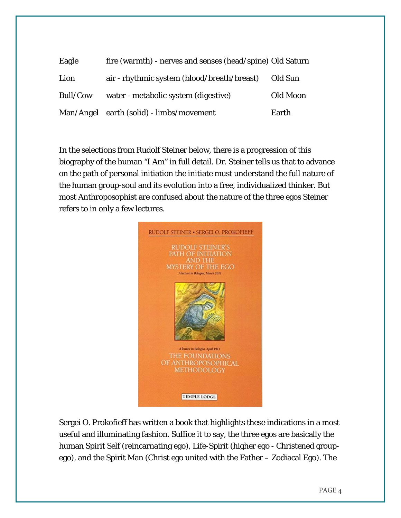| Eagle           | fire (warmth) - nerves and senses (head/spine) Old Saturn |          |
|-----------------|-----------------------------------------------------------|----------|
| Lion            | air - rhythmic system (blood/breath/breast)               | Old Sun  |
| <b>Bull/Cow</b> | water - metabolic system (digestive)                      | Old Moon |
|                 | Man/Angel earth (solid) - limbs/movement                  | Earth    |

In the selections from Rudolf Steiner below, there is a progression of this biography of the human "I Am" in full detail. Dr. Steiner tells us that to advance on the path of personal initiation the initiate must understand the full nature of the human group-soul and its evolution into a free, individualized thinker. But most Anthroposophist are confused about the nature of the three egos Steiner refers to in only a few lectures.



Sergei O. Prokofieff has written a book that highlights these indications in a most useful and illuminating fashion. Suffice it to say, the three egos are basically the human Spirit Self (reincarnating ego), Life-Spirit (higher ego - Christened groupego), and the Spirit Man (Christ ego united with the Father – Zodiacal Ego). The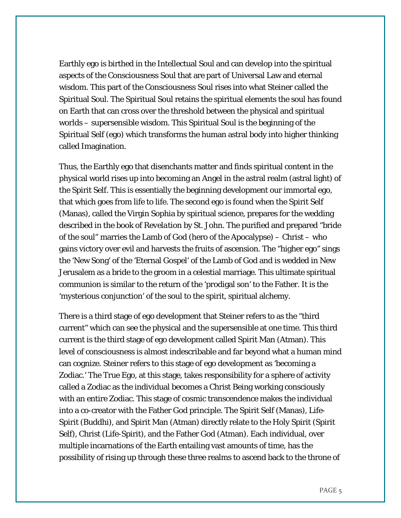Earthly ego is birthed in the Intellectual Soul and can develop into the spiritual aspects of the Consciousness Soul that are part of Universal Law and eternal wisdom. This part of the Consciousness Soul rises into what Steiner called the Spiritual Soul. The Spiritual Soul retains the spiritual elements the soul has found on Earth that can cross over the threshold between the physical and spiritual worlds – supersensible wisdom. This Spiritual Soul is the beginning of the Spiritual Self (ego) which transforms the human astral body into higher thinking called Imagination.

Thus, the Earthly ego that disenchants matter and finds spiritual content in the physical world rises up into becoming an Angel in the astral realm (astral light) of the Spirit Self. This is essentially the beginning development our immortal ego, that which goes from life to life. The second ego is found when the Spirit Self (Manas), called the Virgin Sophia by spiritual science, prepares for the wedding described in the book of *Revelation* by St. John. The purified and prepared "bride of the soul" marries the Lamb of God (hero of the Apocalypse) – Christ – who gains victory over evil and harvests the fruits of ascension. The "higher ego" sings the 'New Song' of the 'Eternal Gospel' of the Lamb of God and is wedded in New Jerusalem as a bride to the groom in a celestial marriage. This ultimate spiritual communion is similar to the return of the 'prodigal son' to the Father. It is the 'mysterious conjunction' of the soul to the spirit, spiritual alchemy.

There is a third stage of ego development that Steiner refers to as the "third current" which can see the physical and the supersensible at one time. This third current is the third stage of ego development called Spirit Man (Atman). This level of consciousness is almost indescribable and far beyond what a human mind can cognize. Steiner refers to this stage of ego development as 'becoming a Zodiac.' The True Ego, at this stage, takes responsibility for a sphere of activity called a Zodiac as the individual becomes a Christ Being working consciously with an entire Zodiac. This stage of cosmic transcendence makes the individual into a co-creator with the Father God principle. The Spirit Self (Manas), Life-Spirit (Buddhi), and Spirit Man (Atman) directly relate to the Holy Spirit (Spirit Self), Christ (Life-Spirit), and the Father God (Atman). Each individual, over multiple incarnations of the Earth entailing vast amounts of time, has the possibility of rising up through these three realms to ascend back to the throne of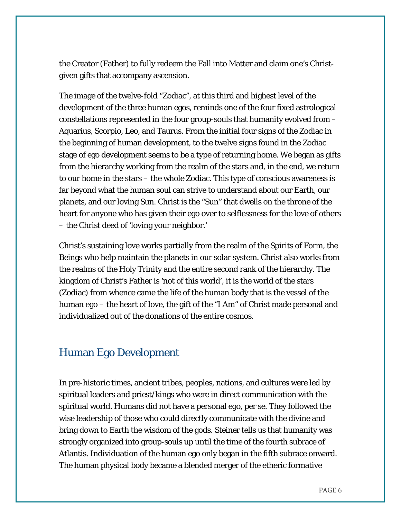the Creator (Father) to fully redeem the Fall into Matter and claim one's Christgiven gifts that accompany ascension.

The image of the twelve-fold "Zodiac", at this third and highest level of the development of the three human egos, reminds one of the four fixed astrological constellations represented in the four group-souls that humanity evolved from – Aquarius, Scorpio, Leo, and Taurus. From the initial four signs of the Zodiac in the beginning of human development, to the twelve signs found in the Zodiac stage of ego development seems to be a type of returning home. We began as gifts from the hierarchy working from the realm of the stars and, in the end, we return to our home in the stars – the whole Zodiac. This type of conscious awareness is far beyond what the human soul can strive to understand about our Earth, our planets, and our loving Sun. Christ is the "Sun" that dwells on the throne of the heart for anyone who has given their ego over to selflessness for the love of others – the Christ deed of 'loving your neighbor.'

Christ's sustaining love works partially from the realm of the Spirits of Form, the Beings who help maintain the planets in our solar system. Christ also works from the realms of the Holy Trinity and the entire second rank of the hierarchy. The kingdom of Christ's Father is 'not of this world', it is the world of the stars (Zodiac) from whence came the life of the human body that is the vessel of the human ego – the heart of love, the gift of the "I Am" of Christ made personal and individualized out of the donations of the entire cosmos.

## Human Ego Development

In pre-historic times, ancient tribes, peoples, nations, and cultures were led by spiritual leaders and priest/kings who were in direct communication with the spiritual world. Humans did not have a personal ego, per se. They followed the wise leadership of those who could directly communicate with the divine and bring down to Earth the wisdom of the gods. Steiner tells us that humanity was strongly organized into group-souls up until the time of the fourth subrace of Atlantis. Individuation of the human ego only began in the fifth subrace onward. The human physical body became a blended merger of the etheric formative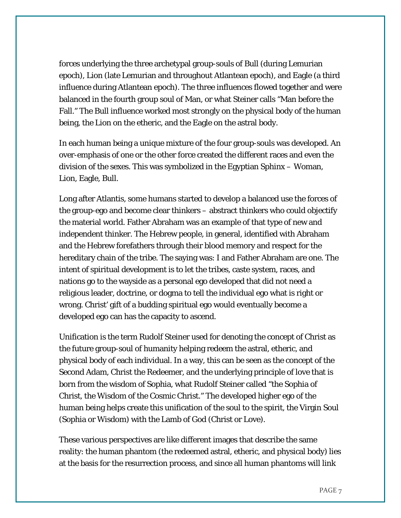forces underlying the three archetypal group-souls of Bull (during Lemurian epoch), Lion (late Lemurian and throughout Atlantean epoch), and Eagle (a third influence during Atlantean epoch). The three influences flowed together and were balanced in the fourth group soul of Man, or what Steiner calls "Man before the Fall." The Bull influence worked most strongly on the physical body of the human being, the Lion on the etheric, and the Eagle on the astral body.

In each human being a unique mixture of the four group-souls was developed. An over-emphasis of one or the other force created the different races and even the division of the sexes. This was symbolized in the Egyptian Sphinx – Woman, Lion, Eagle, Bull.

Long after Atlantis, some humans started to develop a balanced use the forces of the group-ego and become clear thinkers – abstract thinkers who could objectify the material world. Father Abraham was an example of that type of new and independent thinker. The Hebrew people, in general, identified with Abraham and the Hebrew forefathers through their blood memory and respect for the hereditary chain of the tribe. The saying was: I and Father Abraham are one. The intent of spiritual development is to let the tribes, caste system, races, and nations go to the wayside as a personal ego developed that did not need a religious leader, doctrine, or dogma to tell the individual ego what is right or wrong. Christ' gift of a budding spiritual ego would eventually become a developed ego can has the capacity to ascend.

Unification is the term Rudolf Steiner used for denoting the concept of Christ as the future group-soul of humanity helping redeem the astral, etheric, and physical body of each individual. In a way, this can be seen as the concept of the Second Adam, Christ the Redeemer, and the underlying principle of love that is born from the wisdom of Sophia, what Rudolf Steiner called "the Sophia of Christ, the Wisdom of the Cosmic Christ." The developed higher ego of the human being helps create this unification of the soul to the spirit, the Virgin Soul (Sophia or Wisdom) with the Lamb of God (Christ or Love).

These various perspectives are like different images that describe the same reality: the human phantom (the redeemed astral, etheric, and physical body) lies at the basis for the resurrection process, and since all human phantoms will link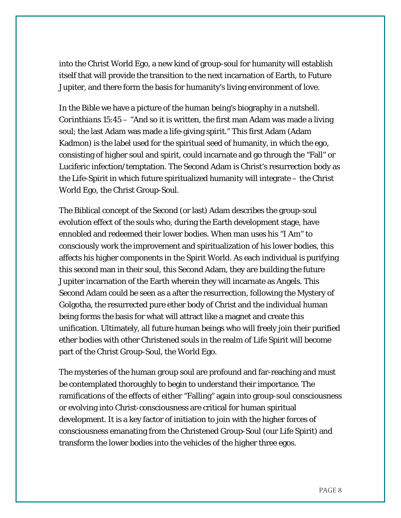into the Christ World Ego, a new kind of group-soul for humanity will establish itself that will provide the transition to the next incarnation of Earth, to Future Jupiter, and there form the basis for humanity's living environment of love.

In the *Bible* we have a picture of the human being's biography in a nutshell. *Corinthians* 15:45 – "And so it is written, the first man Adam was made a living soul; the last Adam was made a life-giving spirit." This first Adam (Adam Kadmon) is the label used for the spiritual seed of humanity, in which the ego, consisting of higher soul and spirit, could incarnate and go through the "Fall" or Luciferic infection/temptation. The Second Adam is Christ's resurrection body as the Life-Spirit in which future spiritualized humanity will integrate – the Christ World Ego, the Christ Group-Soul.

The Biblical concept of the Second (or last) Adam describes the group-soul evolution effect of the souls who, during the Earth development stage, have ennobled and redeemed their lower bodies. When man uses his "I Am" to consciously work the improvement and spiritualization of his lower bodies, this affects his higher components in the Spirit World. As each individual is purifying this second man in their soul, this Second Adam, they are building the future Jupiter incarnation of the Earth wherein they will incarnate as Angels. This Second Adam could be seen as a after the resurrection, following the Mystery of Golgotha, the resurrected pure ether body of Christ and the individual human being forms the basis for what will attract like a magnet and create this unification. Ultimately, all future human beings who will freely join their purified ether bodies with other Christened souls in the realm of Life Spirit will become part of the Christ Group-Soul, the World Ego.

The mysteries of the human group soul are profound and far-reaching and must be contemplated thoroughly to begin to understand their importance. The ramifications of the effects of either "Falling" again into group-soul consciousness or evolving into Christ-consciousness are critical for human spiritual development. It is a key factor of initiation to join with the higher forces of consciousness emanating from the Christened Group-Soul (our Life Spirit) and transform the lower bodies into the vehicles of the higher three egos.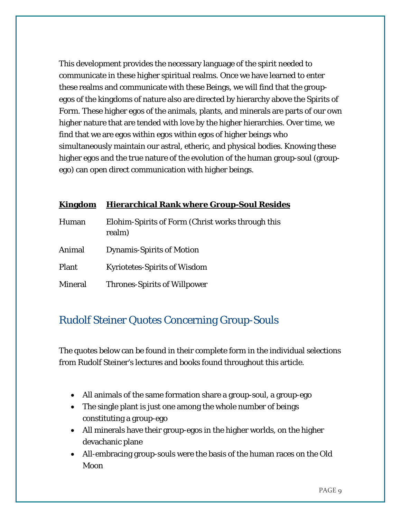This development provides the necessary language of the spirit needed to communicate in these higher spiritual realms. Once we have learned to enter these realms and communicate with these Beings, we will find that the groupegos of the kingdoms of nature also are directed by hierarchy above the Spirits of Form. These higher egos of the animals, plants, and minerals are parts of our own higher nature that are tended with love by the higher hierarchies. Over time, we find that we are egos within egos within egos of higher beings who simultaneously maintain our astral, etheric, and physical bodies. Knowing these higher egos and the true nature of the evolution of the human group-soul (groupego) can open direct communication with higher beings.

| Kingdom        | <b>Hierarchical Rank where Group-Soul Resides</b>           |
|----------------|-------------------------------------------------------------|
| Human          | Elohim-Spirits of Form (Christ works through this<br>realm) |
| Animal         | <b>Dynamis-Spirits of Motion</b>                            |
| Plant          | <b>Kyriotetes-Spirits of Wisdom</b>                         |
| <b>Mineral</b> | <b>Thrones-Spirits of Willpower</b>                         |

# Rudolf Steiner Quotes Concerning Group-Souls

The quotes below can be found in their complete form in the individual selections from Rudolf Steiner's lectures and books found throughout this article.

- All animals of the same formation share a group-soul, a group-ego
- The single plant is just one among the whole number of beings constituting a group-ego
- All minerals have their group-egos in the higher worlds, on the higher devachanic plane
- All-embracing group-souls were the basis of the human races on the Old Moon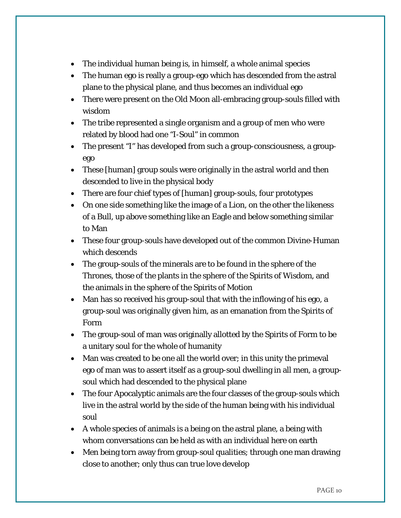- The individual human being is, in himself, a whole animal species
- The human ego is really a group-ego which has descended from the astral plane to the physical plane, and thus becomes an individual ego
- There were present on the Old Moon all-embracing group-souls filled with wisdom
- The tribe represented a single organism and a group of men who were related by blood had one "I-Soul" in common
- The present "I" has developed from such a group-consciousness, a groupego
- These [human] group souls were originally in the astral world and then descended to live in the physical body
- There are four chief types of [human] group-souls, four prototypes
- On one side something like the image of a Lion, on the other the likeness of a Bull, up above something like an Eagle and below something similar to Man
- These four group-souls have developed out of the common Divine-Human which descends
- The group-souls of the minerals are to be found in the sphere of the Thrones, those of the plants in the sphere of the Spirits of Wisdom, and the animals in the sphere of the Spirits of Motion
- Man has so received his group-soul that with the inflowing of his ego, a group-soul was originally given him, as an emanation from the Spirits of Form
- The group-soul of man was originally allotted by the Spirits of Form to be a unitary soul for the whole of humanity
- Man was created to be one all the world over; in this unity the primeval ego of man was to assert itself as a group-soul dwelling in all men, a groupsoul which had descended to the physical plane
- The four Apocalyptic animals are the four classes of the group-souls which live in the astral world by the side of the human being with his individual soul
- A whole species of animals is a being on the astral plane, a being with whom conversations can be held as with an individual here on earth
- Men being torn away from group-soul qualities; through one man drawing close to another; only thus can true love develop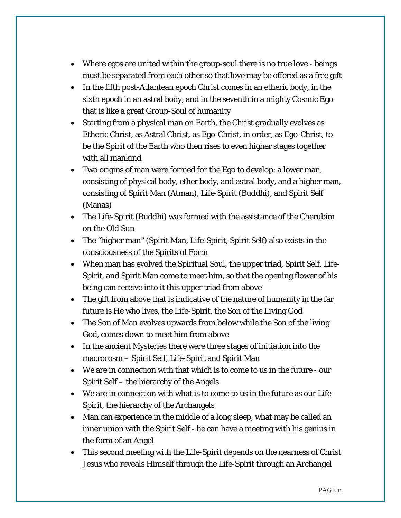- Where egos are united within the group-soul there is no true love beings must be separated from each other so that love may be offered as a free gift
- In the fifth post-Atlantean epoch Christ comes in an etheric body, in the sixth epoch in an astral body, and in the seventh in a mighty Cosmic Ego that is like a great Group-Soul of humanity
- Starting from a physical man on Earth, the Christ gradually evolves as Etheric Christ, as Astral Christ, as Ego-Christ, in order, as Ego-Christ, to be the Spirit of the Earth who then rises to even higher stages together with all mankind
- Two origins of man were formed for the Ego to develop: a lower man, consisting of physical body, ether body, and astral body, and a higher man, consisting of Spirit Man (Atman), Life-Spirit (Buddhi), and Spirit Self (Manas)
- The Life-Spirit (Buddhi) was formed with the assistance of the Cherubim on the Old Sun
- The "higher man" (Spirit Man, Life-Spirit, Spirit Self) also exists in the consciousness of the Spirits of Form
- When man has evolved the Spiritual Soul, the upper triad, Spirit Self, Life-Spirit, and Spirit Man come to meet him, so that the opening flower of his being can receive into it this upper triad from above
- The gift from above that is indicative of the nature of humanity in the far future is He who lives, the Life-Spirit, the Son of the Living God
- The Son of Man evolves upwards from below while the Son of the living God, comes down to meet him from above
- In the ancient Mysteries there were three stages of initiation into the macrocosm – Spirit Self, Life-Spirit and Spirit Man
- We are in connection with that which is to come to us in the future our Spirit Self – the hierarchy of the Angels
- We are in connection with what is to come to us in the future as our Life-Spirit, the hierarchy of the Archangels
- Man can experience in the middle of a long sleep, what may be called an inner union with the Spirit Self - he can have a meeting with his genius in the form of an Angel
- This second meeting with the Life-Spirit depends on the nearness of Christ Jesus who reveals Himself through the Life-Spirit through an Archangel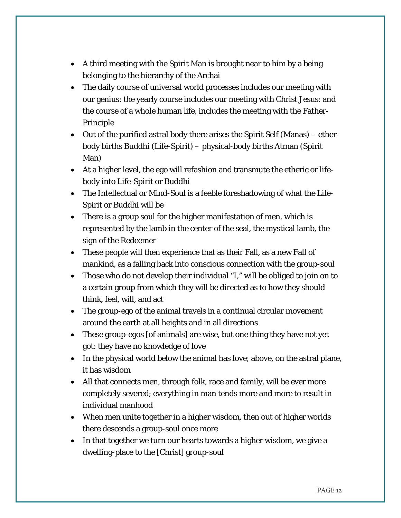- A third meeting with the Spirit Man is brought near to him by a being belonging to the hierarchy of the Archai
- The daily course of universal world processes includes our meeting with our genius: the yearly course includes our meeting with Christ Jesus: and the course of a whole human life, includes the meeting with the Father-Principle
- Out of the purified astral body there arises the Spirit Self (Manas) etherbody births Buddhi (Life-Spirit) – physical-body births Atman (Spirit Man)
- At a higher level, the ego will refashion and transmute the etheric or lifebody into Life-Spirit or Buddhi
- The Intellectual or Mind-Soul is a feeble foreshadowing of what the Life-Spirit or Buddhi will be
- There is a group soul for the higher manifestation of men, which is represented by the lamb in the center of the seal, the mystical lamb, the sign of the Redeemer
- These people will then experience that as their Fall, as a new Fall of mankind, as a falling back into conscious connection with the group-soul
- Those who do not develop their individual "I," will be obliged to join on to a certain group from which they will be directed as to how they should think, feel, will, and act
- The group-ego of the animal travels in a continual circular movement around the earth at all heights and in all directions
- These group-egos [of animals] are wise, but one thing they have not yet got: they have no knowledge of love
- In the physical world below the animal has love; above, on the astral plane, it has wisdom
- All that connects men, through folk, race and family, will be ever more completely severed; everything in man tends more and more to result in individual manhood
- When men unite together in a higher wisdom, then out of higher worlds there descends a group-soul once more
- In that together we turn our hearts towards a higher wisdom, we give a dwelling-place to the [Christ] group-soul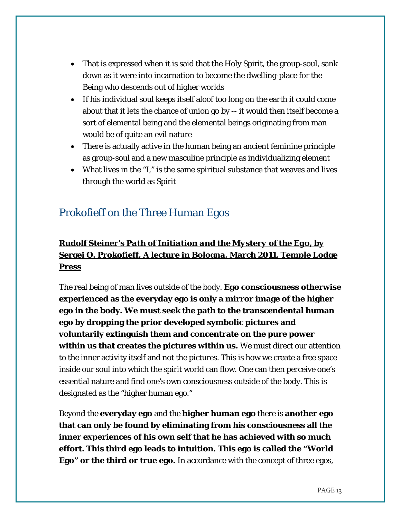- That is expressed when it is said that the Holy Spirit, the group-soul, sank down as it were into incarnation to become the dwelling-place for the Being who descends out of higher worlds
- If his individual soul keeps itself aloof too long on the earth it could come about that it lets the chance of union go by -- it would then itself become a sort of elemental being and the elemental beings originating from man would be of quite an evil nature
- There is actually active in the human being an ancient feminine principle as group-soul and a new masculine principle as individualizing element
- What lives in the "I," is the same spiritual substance that weaves and lives through the world as Spirit

# Prokofieff on the Three Human Egos

### *Rudolf Steiner's Path of Initiation and the Mystery of the Ego***, by Sergei O. Prokofieff, A lecture in Bologna, March 2011, Temple Lodge Press**

The real being of man lives outside of the body. **Ego consciousness otherwise experienced as the everyday ego is only a mirror image of the higher ego in the body. We must seek the path to the transcendental human ego by dropping the prior developed symbolic pictures and voluntarily extinguish them and concentrate on the pure power within us that creates the pictures within us.** We must direct our attention to the inner activity itself and not the pictures. This is how we create a free space inside our soul into which the spirit world can flow. One can then perceive one's essential nature and find one's own consciousness outside of the body. This is designated as the "higher human ego."

Beyond the **everyday ego** and the **higher human ego** there is **another ego that can only be found by eliminating from his consciousness all the inner experiences of his own self that he has achieved with so much effort. This third ego leads to intuition. This ego is called the "World Ego" or the third or true ego.** In accordance with the concept of three egos,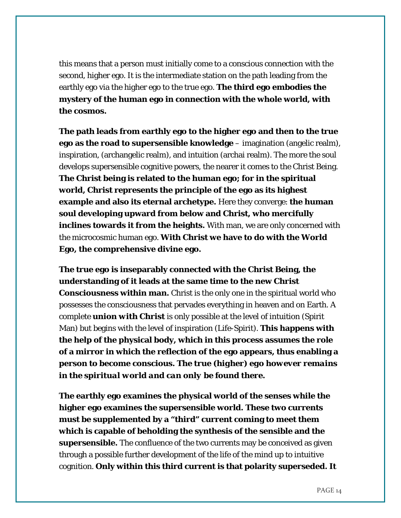this means that a person must initially come to a conscious connection with the second, higher ego. It is the intermediate station on the path leading from the earthly ego via the higher ego to the true ego. **The third ego embodies the mystery of the human ego in connection with the whole world, with the cosmos.**

**The path leads from earthly ego to the higher ego and then to the true ego as the road to supersensible knowledge** – imagination (angelic realm), inspiration, (archangelic realm), and intuition (archai realm). The more the soul develops supersensible cognitive powers, the nearer it comes to the Christ Being. **The Christ being is related to the human ego; for in the spiritual world, Christ represents the principle of the ego as its highest example and also its eternal archetype.** Here they converge: **the human soul developing upward from below and Christ, who mercifully inclines towards it from the heights.** With man, we are only concerned with the microcosmic human ego. **With Christ we have to do with the World Ego, the comprehensive divine ego.** 

**The true ego is inseparably connected with the Christ Being, the understanding of it leads at the same time to the new Christ Consciousness within man.** Christ is the only one in the spiritual world who possesses the consciousness that pervades everything in heaven and on Earth. A complete *union with Christ* is only possible at the level of intuition (Spirit Man) but begins with the level of inspiration (Life-Spirit). **This happens with the help of the physical body, which in this process assumes the role of a mirror in which the reflection of the ego appears, thus enabling a person to become conscious.** *The true (higher) ego however remains in the spiritual world and can only be found there.*

**The earthly ego examines the physical world of the senses while the higher ego examines the supersensible world. These two currents must be supplemented by a "third" current coming to meet them which is capable of beholding the synthesis of the sensible and the supersensible.** The confluence of the two currents may be conceived as given through a possible further development of the life of the mind up to intuitive cognition. **Only within this third current is that polarity superseded.** *It*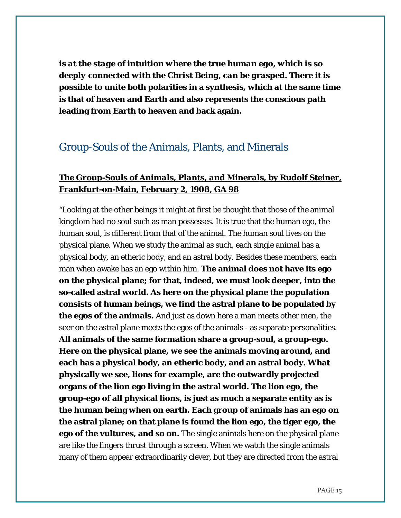*is at the stage of intuition where the true human ego, which is so deeply connected with the Christ Being, can be grasped.* **There it is possible to unite both polarities in a synthesis, which at the same time is that of heaven and Earth and also represents the conscious path leading from Earth to heaven and back again.** 

### Group-Souls of the Animals, Plants, and Minerals

#### *The Group-Souls of Animals, Plants, and Minerals***, by Rudolf Steiner, Frankfurt-on-Main, February 2, 1908, GA 98**

"Looking at the other beings it might at first be thought that those of the animal kingdom had no soul such as man possesses. It is true that the human ego, the human soul, is different from that of the animal. The human soul lives on the physical plane. When we study the animal as such, each single animal has a physical body, an etheric body, and an astral body. Besides these members, each man when awake has an ego within him. **The animal does not have its ego on the physical plane; for that, indeed, we must look deeper, into the so-called astral world. As here on the physical plane the population consists of human beings, we find the astral plane to be populated by the egos of the animals.** And just as down here a man meets other men, the seer on the astral plane meets the egos of the animals - as separate personalities. **All animals of the same formation share a group-soul, a group-ego. Here on the physical plane, we see the animals moving around, and each has a physical body, an etheric body, and an astral body. What physically we see, lions for example, are the outwardly projected organs of the lion ego living in the astral world. The lion ego, the group-ego of all physical lions, is just as much a separate entity as is the human being when on earth. Each group of animals has an ego on the astral plane; on that plane is found the lion ego, the tiger ego, the ego of the vultures, and so on.** The single animals here on the physical plane are like the fingers thrust through a screen. When we watch the single animals many of them appear extraordinarily clever, but they are directed from the astral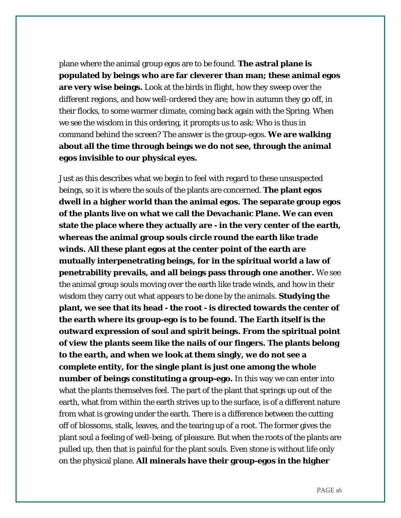plane where the animal group egos are to be found. **The astral plane is populated by beings who are far cleverer than man; these animal egos are very wise beings.** Look at the birds in flight, how they sweep over the different regions, and how well-ordered they are; how in autumn they go off, in their flocks, to some warmer climate, coming back again with the Spring. When we see the wisdom in this ordering, it prompts us to ask: Who is thus in command behind the screen? The answer is the group-egos. **We are walking about all the time through beings we do not see, through the animal egos invisible to our physical eyes.** 

Just as this describes what we begin to feel with regard to these unsuspected beings, so it is where the souls of the plants are concerned. **The plant egos dwell in a higher world than the animal egos. The separate group egos of the plants live on what we call the Devachanic Plane. We can even state the place where they actually are - in the very center of the earth, whereas the animal group souls circle round the earth like trade winds. All these plant egos at the center point of the earth are mutually interpenetrating beings, for in the spiritual world a law of penetrability prevails, and all beings pass through one another.** We see the animal group souls moving over the earth like trade winds, and how in their wisdom they carry out what appears to be done by the animals. **Studying the plant, we see that its head - the root - is directed towards the center of the earth where its group-ego is to be found. The Earth itself is the outward expression of soul and spirit beings. From the spiritual point of view the plants seem like the nails of our fingers. The plants belong to the earth, and when we look at them singly, we do not see a complete entity, for the single plant is just one among the whole number of beings constituting a group-ego.** In this way we can enter into what the plants themselves feel. The part of the plant that springs up out of the earth, what from within the earth strives up to the surface, is of a different nature from what is growing under the earth. There is a difference between the cutting off of blossoms, stalk, leaves, and the tearing up of a root. The former gives the plant soul a feeling of well-being, of pleasure. But when the roots of the plants are pulled up, then that is painful for the plant souls. Even stone is without life only on the physical plane. **All minerals have their group-egos in the higher**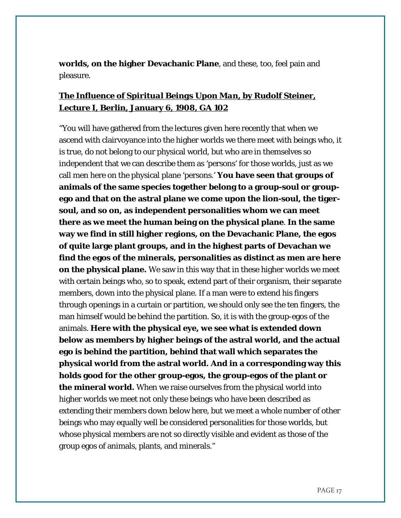**worlds, on the higher Devachanic Plane**, and these, too, feel pain and pleasure.

#### *The Influence of Spiritual Beings Upon Man***, by Rudolf Steiner, Lecture I, Berlin, January 6, 1908, GA 102**

"You will have gathered from the lectures given here recently that when we ascend with clairvoyance into the higher worlds we there meet with beings who, it is true, do not belong to our physical world, but who are in themselves so independent that we can describe them as 'persons' for those worlds, just as we call men here on the physical plane 'persons.' **You have seen that groups of animals of the same species together belong to a group-soul or groupego and that on the astral plane we come upon the lion-soul, the tigersoul, and so on, as independent personalities whom we can meet there as we meet the human being on the physical plane**. **In the same way we find in still higher regions, on the Devachanic Plane, the egos of quite large plant groups, and in the highest parts of Devachan we find the egos of the minerals, personalities as distinct as men are here on the physical plane.** We saw in this way that in these higher worlds we meet with certain beings who, so to speak, extend part of their organism, their separate members, down into the physical plane. If a man were to extend his fingers through openings in a curtain or partition, we should only see the ten fingers, the man himself would be behind the partition. So, it is with the group-egos of the animals. **Here with the physical eye, we see what is extended down below as members by higher beings of the astral world, and the actual ego is behind the partition, behind that wall which separates the physical world from the astral world. And in a corresponding way this holds good for the other group-egos, the group-egos of the plant or the mineral world.** When we raise ourselves from the physical world into higher worlds we meet not only these beings who have been described as extending their members down below here, but we meet a whole number of other beings who may equally well be considered personalities for those worlds, but whose physical members are not so directly visible and evident as those of the group egos of animals, plants, and minerals."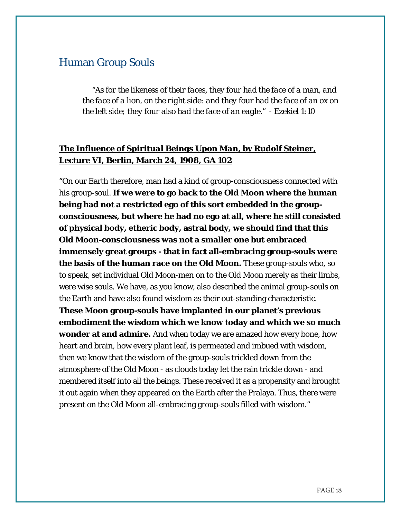### Human Group Souls

 *"As for the likeness of their faces, they four had the face of a man, and the face of a lion, on the right side: and they four had the face of an ox on the left side; they four also had the face of an eagle." - Ezekiel 1:10* 

#### *The Influence of Spiritual Beings Upon Man***, by Rudolf Steiner, Lecture VI, Berlin, March 24, 1908, GA 102**

"On our Earth therefore, man had a kind of group-consciousness connected with his group-soul. **If we were to go back to the Old Moon where the human being had not a restricted ego of this sort embedded in the groupconsciousness, but where he had no ego at all, where he still consisted of physical body, etheric body, astral body, we should find that this Old Moon-consciousness was not a smaller one but embraced immensely great groups - that in fact all-embracing group-souls were the basis of the human race on the Old Moon.** These group-souls who, so to speak, set individual Old Moon-men on to the Old Moon merely as their limbs, were wise souls. We have, as you know, also described the animal group-souls on the Earth and have also found wisdom as their out-standing characteristic.

**These Moon group-souls have implanted in our planet's previous embodiment the wisdom which we know today and which we so much wonder at and admire.** And when today we are amazed how every bone, how heart and brain, how every plant leaf, is permeated and imbued with wisdom, then we know that the wisdom of the group-souls trickled down from the atmosphere of the Old Moon - as clouds today let the rain trickle down - and membered itself into all the beings. These received it as a propensity and brought it out again when they appeared on the Earth after the Pralaya. Thus, there were present on the Old Moon all-embracing group-souls filled with wisdom."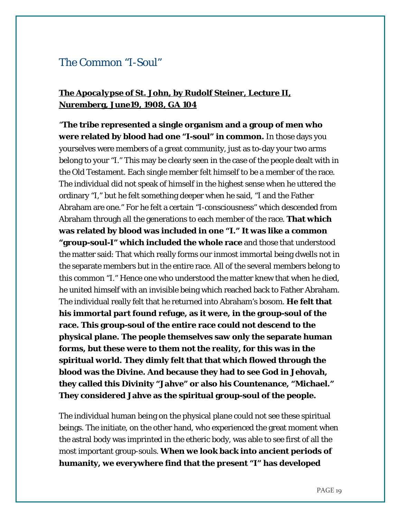### The Common "I-Soul"

#### *The Apocalypse of St. John***, by Rudolf Steiner, Lecture II, Nuremberg, June19, 1908, GA 104**

"**The tribe represented a single organism and a group of men who were related by blood had one "I-soul" in common.** In those days you yourselves were members of a great community, just as to-day your two arms belong to your "I." This may be clearly seen in the case of the people dealt with in the *Old Testament*. Each single member felt himself to be a member of the race. The individual did not speak of himself in the highest sense when he uttered the ordinary "I," but he felt something deeper when he said, "I and the Father Abraham are one." For he felt a certain "I-consciousness" which descended from Abraham through all the generations to each member of the race. **That which was related by blood was included in one "I." It was like a common "group-soul-I" which included the whole race** and those that understood the matter said: That which really forms our inmost immortal being dwells not in the separate members but in the entire race. All of the several members belong to this common "I." Hence one who understood the matter knew that when he died, he united himself with an invisible being which reached back to Father Abraham. The individual really felt that he returned into Abraham's bosom. **He felt that his immortal part found refuge, as it were, in the group-soul of the race. This group-soul of the entire race could not descend to the physical plane. The people themselves saw only the separate human forms, but these were to them not the reality, for this was in the spiritual world. They dimly felt that that which flowed through the blood was the Divine. And because they had to see God in Jehovah, they called this Divinity "Jahve" or also his Countenance, "Michael." They considered Jahve as the spiritual group-soul of the people.** 

The individual human being on the physical plane could not see these spiritual beings. The initiate, on the other hand, who experienced the great moment when the astral body was imprinted in the etheric body, was able to see first of all the most important group-souls. **When we look back into ancient periods of humanity, we everywhere find that the present "I" has developed**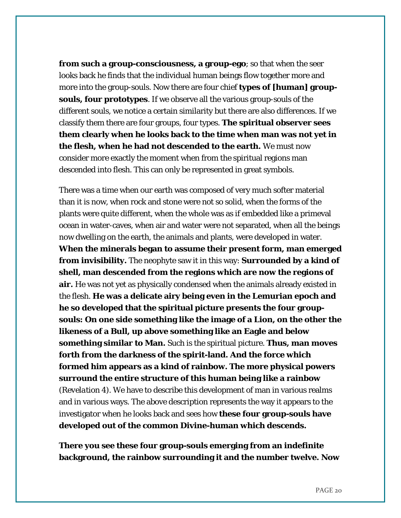**from such a group-consciousness, a group-ego**; so that when the seer looks back he finds that the individual human beings flow together more and more into the group-souls. Now there are four chief **types of [human] groupsouls, four prototypes**. If we observe all the various group-souls of the different souls, we notice a certain similarity but there are also differences. If we classify them there are four groups, four types. **The spiritual observer sees them clearly when he looks back to the time when man was not yet in the flesh, when he had not descended to the earth.** We must now consider more exactly the moment when from the spiritual regions man descended into flesh. This can only be represented in great symbols.

There was a time when our earth was composed of very much softer material than it is now, when rock and stone were not so solid, when the forms of the plants were quite different, when the whole was as if embedded like a primeval ocean in water-caves, when air and water were not separated, when all the beings now dwelling on the earth, the animals and plants, were developed in water. **When the minerals began to assume their present form, man emerged from invisibility.** The neophyte saw it in this way: **Surrounded by a kind of shell, man descended from the regions which are now the regions of air.** He was not yet as physically condensed when the animals already existed in the flesh. **He was a delicate airy being even in the Lemurian epoch and he so developed that the spiritual picture presents the four groupsouls: On one side something like the image of a Lion, on the other the likeness of a Bull, up above something like an Eagle and below something similar to Man.** Such is the spiritual picture. **Thus, man moves forth from the darkness of the spirit-land. And the force which formed him appears as a kind of rainbow. The more physical powers surround the entire structure of this human being like a rainbow** (*Revelation* 4). We have to describe this development of man in various realms and in various ways. The above description represents the way it appears to the investigator when he looks back and sees how **these four group-souls have developed out of the common Divine-human which descends.**

**There you see these four group-souls emerging from an indefinite background, the rainbow surrounding it and the number twelve. Now**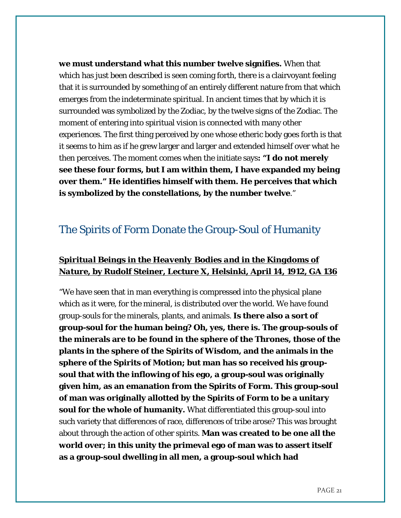**we must understand what this number twelve signifies.** When that which has just been described is seen coming forth, there is a clairvoyant feeling that it is surrounded by something of an entirely different nature from that which emerges from the indeterminate spiritual. In ancient times that by which it is surrounded was symbolized by the Zodiac, by the twelve signs of the Zodiac. The moment of entering into spiritual vision is connected with many other experiences. The first thing perceived by one whose etheric body goes forth is that it seems to him as if he grew larger and larger and extended himself over what he then perceives. The moment comes when the initiate says**: "I do not merely see these four forms, but I am within them, I have expanded my being over them." He identifies himself with them. He perceives that which is symbolized by the constellations, by the number twelve**."

### The Spirits of Form Donate the Group-Soul of Humanity

#### *Spiritual Beings in the Heavenly Bodies and in the Kingdoms of Nature***, by Rudolf Steiner, Lecture X, Helsinki, April 14, 1912, GA 136**

"We have seen that in man everything is compressed into the physical plane which as it were, for the mineral, is distributed over the world. We have found group-souls for the minerals, plants, and animals. **Is there also a sort of group-soul for the human being? Oh, yes, there is. The group-souls of the minerals are to be found in the sphere of the Thrones, those of the plants in the sphere of the Spirits of Wisdom, and the animals in the sphere of the Spirits of Motion; but man has so received his groupsoul that with the inflowing of his ego, a group-soul was originally given him, as an emanation from the Spirits of Form. This group-soul of man was originally allotted by the Spirits of Form to be a unitary soul for the whole of humanity.** What differentiated this group-soul into such variety that differences of race, differences of tribe arose? This was brought about through the action of other spirits. **Man was created to be one all the world over; in this unity the primeval ego of man was to assert itself as a group-soul dwelling in all men, a group-soul which had**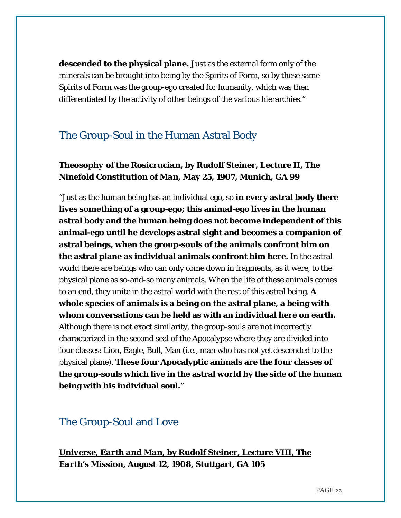**descended to the physical plane.** Just as the external form only of the minerals can be brought into being by the Spirits of Form, so by these same Spirits of Form was the group-ego created for humanity, which was then differentiated by the activity of other beings of the various hierarchies."

# The Group-Soul in the Human Astral Body

### *Theosophy of the Rosicrucian,* **by Rudolf Steiner, Lecture II,** *The Ninefold Constitution of Man***, May 25, 1907, Munich, GA 99**

"Just as the human being has an individual ego, so **in every astral body there lives something of a group-ego; this animal-ego lives in the human astral body and the human being does not become independent of this animal-ego until he develops astral sight and becomes a companion of astral beings, when the group-souls of the animals confront him on the astral plane as individual animals confront him here.** In the astral world there are beings who can only come down in fragments, as it were, to the physical plane as so-and-so many animals. When the life of these animals comes to an end, they unite in the astral world with the rest of this astral being. **A whole species of animals is a being on the astral plane, a being with whom conversations can be held as with an individual here on earth.** Although there is not exact similarity, the group-souls are not incorrectly characterized in the second seal of the Apocalypse where they are divided into four classes: Lion, Eagle, Bull, Man (i.e., man who has not yet descended to the physical plane). **These four Apocalyptic animals are the four classes of the group-souls which live in the astral world by the side of the human being with his individual soul.**"

The Group-Soul and Love

### *Universe, Earth and Man***, by Rudolf Steiner, Lecture VIII,** *The Earth's Mission***, August 12, 1908, Stuttgart, GA 105**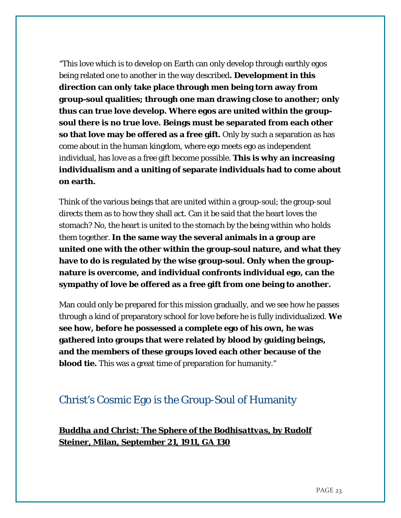"This love which is to develop on Earth can only develop through earthly egos being related one to another in the way described**. Development in this direction can only take place through men being torn away from group-soul qualities; through one man drawing close to another; only thus can true love develop. Where egos are united within the groupsoul there is no true love. Beings must be separated from each other so that love may be offered as a free gift.** Only by such a separation as has come about in the human kingdom, where ego meets ego as independent individual, has love as a free gift become possible. **This is why an increasing individualism and a uniting of separate individuals had to come about on earth.** 

Think of the various beings that are united within a group-soul; the group-soul directs them as to how they shall act. Can it be said that the heart loves the stomach? No, the heart is united to the stomach by the being within who holds them together. **In the same way the several animals in a group are united one with the other within the group-soul nature, and what they have to do is regulated by the wise group-soul. Only when the groupnature is overcome, and individual confronts individual ego, can the sympathy of love be offered as a free gift from one being to another.** 

Man could only be prepared for this mission gradually, and we see how he passes through a kind of preparatory school for love before he is fully individualized. **We see how, before he possessed a complete ego of his own, he was gathered into groups that were related by blood by guiding beings, and the members of these groups loved each other because of the blood tie.** This was a great time of preparation for humanity."

### Christ's Cosmic Ego is the Group-Soul of Humanity

*Buddha and Christ: The Sphere of the Bodhisattvas***, by Rudolf Steiner, Milan, September 21, 1911, GA 130**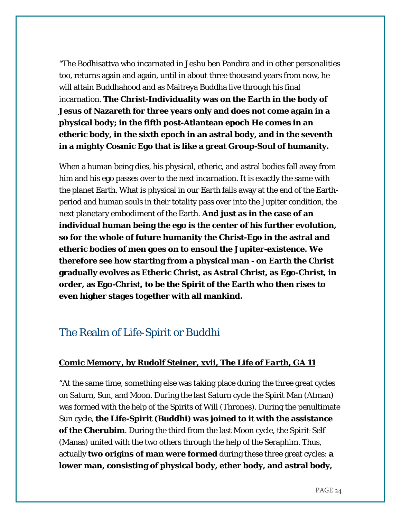"The Bodhisattva who incarnated in Jeshu ben Pandira and in other personalities too, returns again and again, until in about three thousand years from now, he will attain Buddhahood and as Maitreya Buddha live through his final incarnation. **The Christ-Individuality was on the Earth in the body of Jesus of Nazareth for three years only and does not come again in a physical body; in the fifth post-Atlantean epoch He comes in an etheric body, in the sixth epoch in an astral body, and in the seventh in a mighty Cosmic Ego that is like a great Group-Soul of humanity.** 

When a human being dies, his physical, etheric, and astral bodies fall away from him and his ego passes over to the next incarnation. It is exactly the same with the planet Earth. What is physical in our Earth falls away at the end of the Earthperiod and human souls in their totality pass over into the Jupiter condition, the next planetary embodiment of the Earth. **And just as in the case of an individual human being the ego is the center of his further evolution, so for the whole of future humanity the Christ-Ego in the astral and etheric bodies of men goes on to ensoul the Jupiter-existence. We therefore see how starting from a physical man - on Earth the Christ gradually evolves as Etheric Christ, as Astral Christ, as Ego-Christ, in order, as Ego-Christ, to be the Spirit of the Earth who then rises to even higher stages together with all mankind.** 

### The Realm of Life-Spirit or Buddhi

#### *Comic Memory,* **by Rudolf Steiner, xvii***, The Life of Earth,* **GA 11**

"At the same time, something else was taking place during the three great cycles on Saturn, Sun, and Moon. During the last Saturn cycle the Spirit Man (Atman) was formed with the help of the Spirits of Will (Thrones). During the penultimate Sun cycle, **the Life-Spirit (Buddhi) was joined to it with the assistance of the Cherubim**. During the third from the last Moon cycle, the Spirit-Self (Manas) united with the two others through the help of the Seraphim. Thus, actually **two origins of man were formed** during these three great cycles: **a lower man, consisting of physical body, ether body, and astral body,**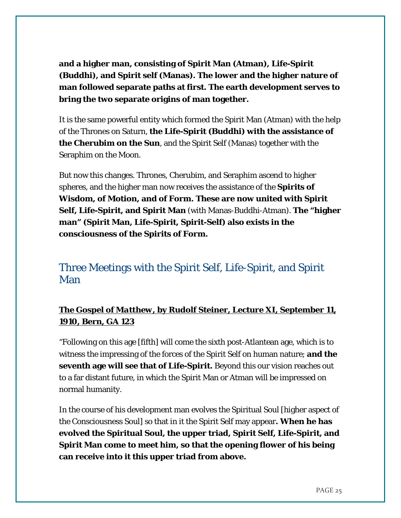**and a higher man, consisting of Spirit Man (Atman), Life-Spirit (Buddhi), and Spirit self (Manas). The lower and the higher nature of man followed separate paths at first. The earth development serves to bring the two separate origins of man together.** 

It is the same powerful entity which formed the Spirit Man (Atman) with the help of the Thrones on Saturn, **the Life-Spirit (Buddhi) with the assistance of the Cherubim on the Sun**, and the Spirit Self (Manas) together with the Seraphim on the Moon.

But now this changes. Thrones, Cherubim, and Seraphim ascend to higher spheres, and the higher man now receives the assistance of the **Spirits of Wisdom, of Motion, and of Form. These are now united with Spirit Self, Life-Spirit, and Spirit Man** (with Manas-Buddhi-Atman). **The "higher man" (Spirit Man, Life-Spirit, Spirit-Self) also exists in the consciousness of the Spirits of Form.** 

### Three Meetings with the Spirit Self, Life-Spirit, and Spirit Man

### *The Gospel of Matthew***, by Rudolf Steiner, Lecture XI, September 11, 1910, Bern, GA 123**

"Following on this age [fifth] will come the sixth post-Atlantean age, which is to witness the impressing of the forces of the Spirit Self on human nature; **and the seventh age will see that of Life-Spirit.** Beyond this our vision reaches out to a far distant future, in which the Spirit Man or Atman will be impressed on normal humanity.

In the course of his development man evolves the Spiritual Soul [higher aspect of the Consciousness Soul] so that in it the Spirit Self may appear**. When he has evolved the Spiritual Soul, the upper triad, Spirit Self, Life-Spirit, and Spirit Man come to meet him, so that the opening flower of his being can receive into it this upper triad from above.**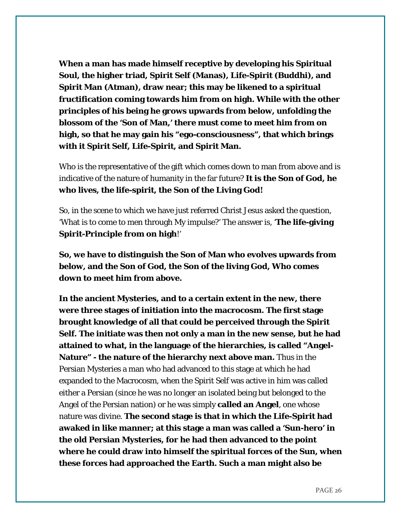**When a man has made himself receptive by developing his Spiritual Soul, the higher triad, Spirit Self (Manas), Life-Spirit (Buddhi), and Spirit Man (Atman), draw near; this may be likened to a spiritual fructification coming towards him from on high. While with the other principles of his being he grows upwards from below, unfolding the blossom of the 'Son of Man,' there must come to meet him from on high, so that he may gain his "ego-consciousness", that which brings with it Spirit Self, Life-Spirit, and Spirit Man.** 

Who is the representative of the gift which comes down to man from above and is indicative of the nature of humanity in the far future? **It is the Son of God, he who lives, the life-spirit, the Son of the Living God!** 

So, in the scene to which we have just referred Christ Jesus asked the question, 'What is to come to men through My impulse?' The answer is, '**The life-giving Spirit-Principle from on high**!'

**So, we have to distinguish the Son of Man who evolves upwards from below, and the Son of God, the Son of the living God, Who comes down to meet him from above.** 

**In the ancient Mysteries, and to a certain extent in the new, there were three stages of initiation into the macrocosm. The first stage brought knowledge of all that could be perceived through the Spirit Self. The initiate was then not only a man in the new sense, but he had attained to what, in the language of the hierarchies, is called "Angel-Nature" - the nature of the hierarchy next above man.** Thus in the Persian Mysteries a man who had advanced to this stage at which he had expanded to the Macrocosm, when the Spirit Self was active in him was called either a Persian (since he was no longer an isolated being but belonged to the Angel of the Persian nation) or he was simply **called an Angel**, one whose nature was divine. **The second stage is that in which the Life-Spirit had awaked in like manner; at this stage a man was called a 'Sun-hero' in the old Persian Mysteries, for he had then advanced to the point where he could draw into himself the spiritual forces of the Sun, when these forces had approached the Earth. Such a man might also be**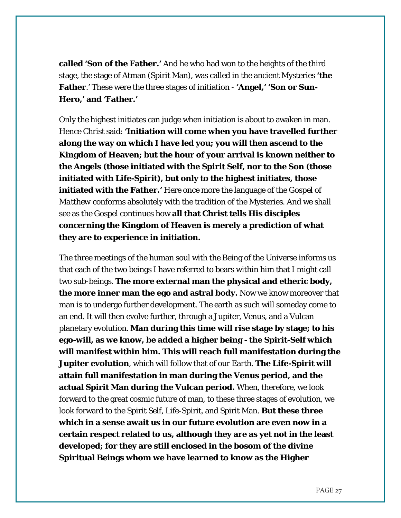**called 'Son of the Father.'** And he who had won to the heights of the third stage, the stage of Atman (Spirit Man), was called in the ancient Mysteries **'the Father**.' These were the three stages of initiation - **'Angel,' 'Son or Sun-Hero,' and 'Father.'**

Only the highest initiates can judge when initiation is about to awaken in man. Hence Christ said: **'Initiation will come when you have travelled further along the way on which I have led you; you will then ascend to the Kingdom of Heaven; but the hour of your arrival is known neither to the Angels (those initiated with the Spirit Self, nor to the Son (those initiated with Life-Spirit), but only to the highest initiates, those initiated with the Father.'** Here once more the language of the *Gospel of Matthew* conforms absolutely with the tradition of the Mysteries. And we shall see as the Gospel continues how **all that Christ tells His disciples concerning the Kingdom of Heaven is merely a prediction of what they are to experience in initiation.** 

The three meetings of the human soul with the Being of the Universe informs us that each of the two beings I have referred to bears within him that I might call two sub-beings. **The more external man the physical and etheric body, the more inner man the ego and astral body.** Now we know moreover that man is to undergo further development. The earth as such will someday come to an end. It will then evolve further, through a Jupiter, Venus, and a Vulcan planetary evolution. **Man during this time will rise stage by stage; to his ego-will, as we know, be added a higher being - the Spirit-Self which will manifest within him. This will reach full manifestation during the Jupiter evolution**, which will follow that of our Earth. **The Life-Spirit will attain full manifestation in man during the Venus period, and the actual Spirit Man during the Vulcan period.** When, therefore, we look forward to the great cosmic future of man, to these three stages of evolution, we look forward to the Spirit Self, Life-Spirit, and Spirit Man. **But these three which in a sense await us in our future evolution are even now in a certain respect related to us, although they are as yet not in the least developed; for they are still enclosed in the bosom of the divine Spiritual Beings whom we have learned to know as the Higher**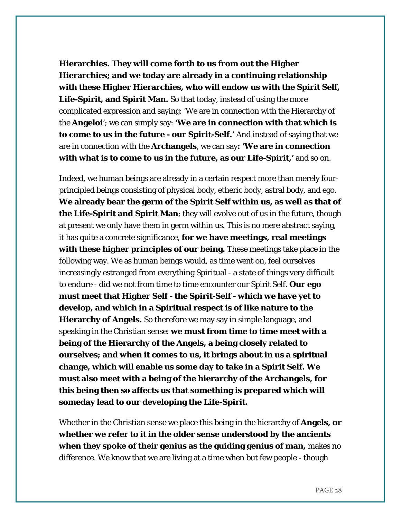**Hierarchies. They will come forth to us from out the Higher Hierarchies; and we today are already in a continuing relationship with these Higher Hierarchies, who will endow us with the Spirit Self, Life-Spirit, and Spirit Man.** So that today, instead of using the more complicated expression and saying: 'We are in connection with the Hierarchy of the **Angeloi**'; we can simply say: **'We are in connection with that which is to come to us in the future - our Spirit-Self.'** And instead of saying that we are in connection with the **Archangels**, we can say**: 'We are in connection with what is to come to us in the future, as our Life-Spirit,'** and so on.

Indeed, we human beings are already in a certain respect more than merely fourprincipled beings consisting of physical body, etheric body, astral body, and ego. **We already bear the germ of the Spirit Self within us, as well as that of the Life-Spirit and Spirit Man**; they will evolve out of us in the future, though at present we only have them in germ within us. This is no mere abstract saying, it has quite a concrete significance, **for we have meetings, real meetings with these higher principles of our being.** These meetings take place in the following way. We as human beings would, as time went on, feel ourselves increasingly estranged from everything Spiritual - a state of things very difficult to endure - did we not from time to time encounter our Spirit Self. **Our ego must meet that Higher Self - the Spirit-Self - which we have yet to develop, and which in a Spiritual respect is of like nature to the Hierarchy of Angels.** So therefore we may say in simple language, and speaking in the Christian sense: **we must from time to time meet with a being of the Hierarchy of the Angels, a being closely related to ourselves; and when it comes to us, it brings about in us a spiritual change, which will enable us some day to take in a Spirit Self. We must also meet with a being of the hierarchy of the Archangels, for this being then so affects us that something is prepared which will someday lead to our developing the Life-Spirit.** 

Whether in the Christian sense we place this being in the hierarchy of **Angels, or whether we refer to it in the older sense understood by the ancients when they spoke of their genius as the guiding genius of man,** makes no difference. We know that we are living at a time when but few people - though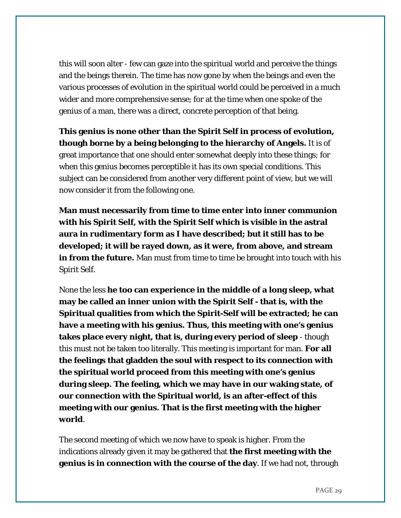this will soon alter - few can gaze into the spiritual world and perceive the things and the beings therein. The time has now gone by when the beings and even the various processes of evolution in the spiritual world could be perceived in a much wider and more comprehensive sense; for at the time when one spoke of the genius of a man, there was a direct, concrete perception of that being.

**This genius is none other than the Spirit Self in process of evolution, though borne by a being belonging to the hierarchy of Angels.** It is of great importance that one should enter somewhat deeply into these things; for when this genius becomes perceptible it has its own special conditions. This subject can be considered from another very different point of view, but we will now consider it from the following one.

**Man must necessarily from time to time enter into inner communion with his Spirit Self, with the Spirit Self which is visible in the astral aura in rudimentary form as I have described; but it still has to be developed; it will be rayed down, as it were, from above, and stream in from the future.** Man must from time to time be brought into touch with his Spirit Self.

None the less **he too can experience in the middle of a long sleep, what may be called an inner union with the Spirit Self - that is, with the Spiritual qualities from which the Spirit-Self will be extracted; he can have a meeting with his genius. Thus, this meeting with one's genius takes place every night, that is, during every period of sleep** - though this must not be taken too literally. This meeting is important for man. **For all the feelings that gladden the soul with respect to its connection with the spiritual world proceed from this meeting with one's genius during sleep. The feeling, which we may have in our waking state, of our connection with the Spiritual world, is an after-effect of this meeting with our genius. That is the first meeting with the higher world**.

The second meeting of which we now have to speak is higher. From the indications already given it may be gathered that **the first meeting with the genius is in connection with the course of the day**. If we had not, through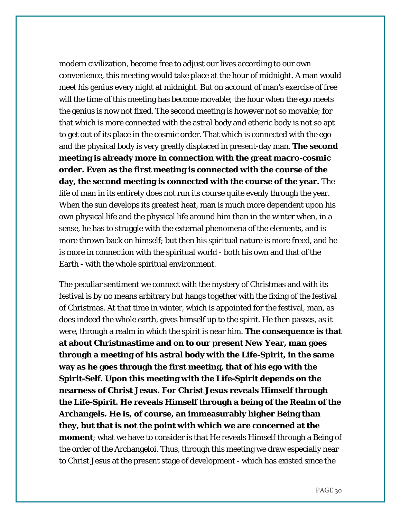modern civilization, become free to adjust our lives according to our own convenience, this meeting would take place at the hour of midnight. A man would meet his genius every night at midnight. But on account of man's exercise of free will the time of this meeting has become movable; the hour when the ego meets the genius is now not fixed. The second meeting is however not so movable; for that which is more connected with the astral body and etheric body is not so apt to get out of its place in the cosmic order. That which is connected with the ego and the physical body is very greatly displaced in present-day man. **The second meeting is already more in connection with the great macro-cosmic order. Even as the first meeting is connected with the course of the day, the second meeting is connected with the course of the year.** The life of man in its entirety does not run its course quite evenly through the year. When the sun develops its greatest heat, man is much more dependent upon his own physical life and the physical life around him than in the winter when, in a sense, he has to struggle with the external phenomena of the elements, and is more thrown back on himself; but then his spiritual nature is more freed, and he is more in connection with the spiritual world - both his own and that of the Earth - with the whole spiritual environment.

The peculiar sentiment we connect with the mystery of Christmas and with its festival is by no means arbitrary but hangs together with the fixing of the festival of Christmas. At that time in winter, which is appointed for the festival, man, as does indeed the whole earth, gives himself up to the spirit. He then passes, as it were, through a realm in which the spirit is near him. **The consequence is that at about Christmastime and on to our present New Year, man goes through a meeting of his astral body with the Life-Spirit, in the same way as he goes through the first meeting, that of his ego with the Spirit-Self. Upon this meeting with the Life-Spirit depends on the nearness of Christ Jesus. For Christ Jesus reveals Himself through the Life-Spirit. He reveals Himself through a being of the Realm of the Archangels. He is, of course, an immeasurably higher Being than they, but that is not the point with which we are concerned at the moment**; what we have to consider is that He reveals Himself through a Being of the order of the Archangeloi. Thus, through this meeting we draw especially near to Christ Jesus at the present stage of development - which has existed since the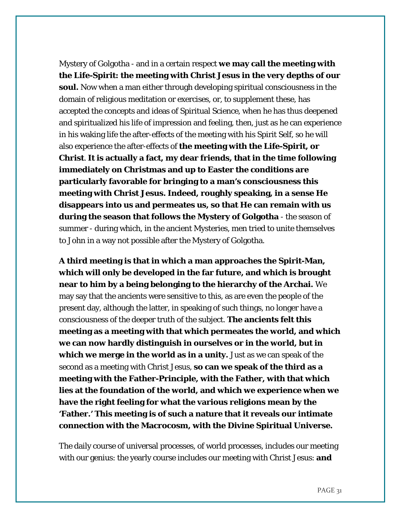Mystery of Golgotha - and in a certain respect **we may call the meeting with the Life-Spirit: the meeting with Christ Jesus in the very depths of our soul.** Now when a man either through developing spiritual consciousness in the domain of religious meditation or exercises, or, to supplement these, has accepted the concepts and ideas of Spiritual Science, when he has thus deepened and spiritualized his life of impression and feeling, then, just as he can experience in his waking life the after-effects of the meeting with his Spirit Self, so he will also experience the after-effects of **the meeting with the Life-Spirit, or Christ**. **It is actually a fact, my dear friends, that in the time following immediately on Christmas and up to Easter the conditions are particularly favorable for bringing to a man's consciousness this meeting with Christ Jesus. Indeed, roughly speaking, in a sense He disappears into us and permeates us, so that He can remain with us during the season that follows the Mystery of Golgotha** - the season of summer - during which, in the ancient Mysteries, men tried to unite themselves to John in a way not possible after the Mystery of Golgotha.

**A third meeting is that in which a man approaches the Spirit-Man, which will only be developed in the far future, and which is brought near to him by a being belonging to the hierarchy of the Archai.** We may say that the ancients were sensitive to this, as are even the people of the present day, although the latter, in speaking of such things, no longer have a consciousness of the deeper truth of the subject. **The ancients felt this meeting as a meeting with that which permeates the world, and which we can now hardly distinguish in ourselves or in the world, but in which we merge in the world as in a unity.** Just as we can speak of the second as a meeting with Christ Jesus, **so can we speak of the third as a meeting with the Father-Principle, with the Father, with that which lies at the foundation of the world, and which we experience when we have the right feeling for what the various religions mean by the 'Father.' This meeting is of such a nature that it reveals our intimate connection with the Macrocosm, with the Divine Spiritual Universe.**

The daily course of universal processes, of world processes, includes our meeting with our genius: the yearly course includes our meeting with Christ Jesus: **and**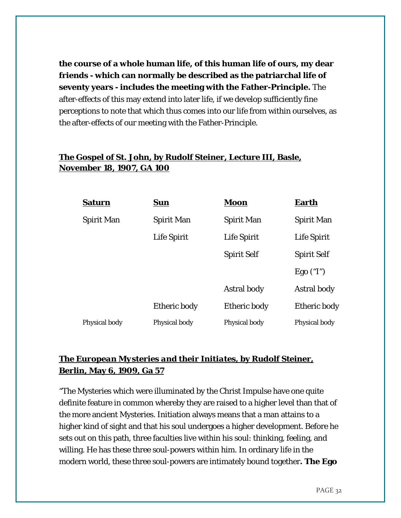**the course of a whole human life, of this human life of ours, my dear friends - which can normally be described as the patriarchal life of seventy years - includes the meeting with the Father-Principle.** The after-effects of this may extend into later life, if we develop sufficiently fine perceptions to note that which thus comes into our life from within ourselves, as the after-effects of our meeting with the Father-Principle.

#### *The Gospel of St. John***, by Rudolf Steiner, Lecture III, Basle, November 18, 1907, GA 100**

| <b>Saturn</b>     | Sun                 | <b>Moon</b>         | <b>Earth</b>       |
|-------------------|---------------------|---------------------|--------------------|
| <b>Spirit Man</b> | <b>Spirit Man</b>   | <b>Spirit Man</b>   | <b>Spirit Man</b>  |
|                   | Life Spirit         | Life Spirit         | Life Spirit        |
|                   |                     | <b>Spirit Self</b>  | <b>Spirit Self</b> |
|                   |                     |                     | Ego $(T)$          |
|                   |                     | <b>Astral body</b>  | <b>Astral body</b> |
|                   | <b>Etheric body</b> | <b>Etheric body</b> | Etheric body       |
| Physical body     | Physical body       | Physical body       | Physical body      |

### *The European Mysteries and their Initiates***, by Rudolf Steiner, Berlin, May 6, 1909, Ga 57**

"The Mysteries which were illuminated by the Christ Impulse have one quite definite feature in common whereby they are raised to a higher level than that of the more ancient Mysteries. Initiation always means that a man attains to a higher kind of sight and that his soul undergoes a higher development. Before he sets out on this path, three faculties live within his soul: thinking, feeling, and willing. He has these three soul-powers within him. In ordinary life in the modern world, these three soul-powers are intimately bound together**. The Ego**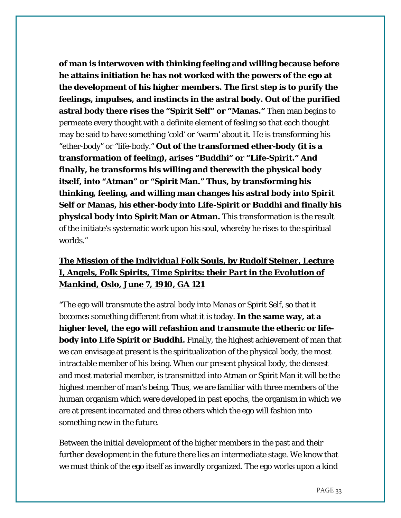**of man is interwoven with thinking feeling and willing because before he attains initiation he has not worked with the powers of the ego at the development of his higher members. The first step is to purify the feelings, impulses, and instincts in the astral body. Out of the purified astral body there rises the "Spirit Self" or "Manas."** Then man begins to permeate every thought with a definite element of feeling so that each thought may be said to have something 'cold' or 'warm' about it. He is transforming his "ether-body" or "life-body." **Out of the transformed ether-body (it is a transformation of feeling), arises "Buddhi" or "Life-Spirit." And finally, he transforms his willing and therewith the physical body itself, into "Atman" or "Spirit Man." Thus, by transforming his thinking, feeling, and willing man changes his astral body into Spirit Self or Manas, his ether-body into Life-Spirit or Buddhi and finally his physical body into Spirit Man or Atman.** This transformation is the result of the initiate's systematic work upon his soul, whereby he rises to the spiritual worlds."

### *The Mission of the Individual Folk Souls***, by Rudolf Steiner, Lecture I,** *Angels, Folk Spirits, Time Spirits: their Part in the Evolution of Mankind***, Oslo, June 7, 1910, GA 121**

"The ego will transmute the astral body into Manas or Spirit Self, so that it becomes something different from what it is today. **In the same way, at a higher level, the ego will refashion and transmute the etheric or lifebody into Life Spirit or Buddhi.** Finally, the highest achievement of man that we can envisage at present is the spiritualization of the physical body, the most intractable member of his being. When our present physical body, the densest and most material member, is transmitted into Atman or Spirit Man it will be the highest member of man's being. Thus, we are familiar with three members of the human organism which were developed in past epochs, the organism in which we are at present incarnated and three others which the ego will fashion into something new in the future.

Between the initial development of the higher members in the past and their further development in the future there lies an intermediate stage. We know that we must think of the ego itself as inwardly organized. The ego works upon a kind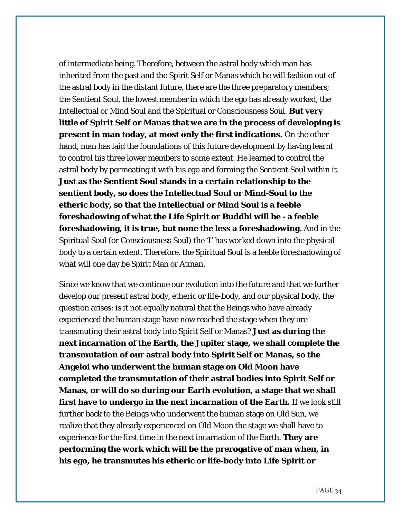of intermediate being. Therefore, between the astral body which man has inherited from the past and the Spirit Self or Manas which he will fashion out of the astral body in the distant future, there are the three preparatory members; the Sentient Soul, the lowest member in which the ego has already worked, the Intellectual or Mind Soul and the Spiritual or Consciousness Soul. **But very little of Spirit Self or Manas that we are in the process of developing is present in man today, at most only the first indications.** On the other hand, man has laid the foundations of this future development by having learnt to control his three lower members to some extent. He learned to control the astral body by permeating it with his ego and forming the Sentient Soul within it. **Just as the Sentient Soul stands in a certain relationship to the sentient body, so does the Intellectual Soul or Mind-Soul to the etheric body, so that the Intellectual or Mind Soul is a feeble foreshadowing of what the Life Spirit or Buddhi will be - a feeble foreshadowing, it is true, but none the less a foreshadowing.** And in the Spiritual Soul (or Consciousness Soul) the 'I' has worked down into the physical body to a certain extent. Therefore, the Spiritual Soul is a feeble foreshadowing of what will one day be Spirit Man or Atman.

Since we know that we continue our evolution into the future and that we further develop our present astral body, etheric or life-body, and our physical body, the question arises: is it not equally natural that the Beings who have already experienced the human stage have now reached the stage when they are transmuting their astral body into Spirit Self or Manas? **Just as during the next incarnation of the Earth, the Jupiter stage, we shall complete the transmutation of our astral body into Spirit Self or Manas, so the Angeloi who underwent the human stage on Old Moon have completed the transmutation of their astral bodies into Spirit Self or Manas, or will do so during our Earth evolution, a stage that we shall first have to undergo in the next incarnation of the Earth.** If we look still further back to the Beings who underwent the human stage on Old Sun, we realize that they already experienced on Old Moon the stage we shall have to experience for the first time in the next incarnation of the Earth. **They are performing the work which will be the prerogative of man when, in his ego, he transmutes his etheric or life-body into Life Spirit or**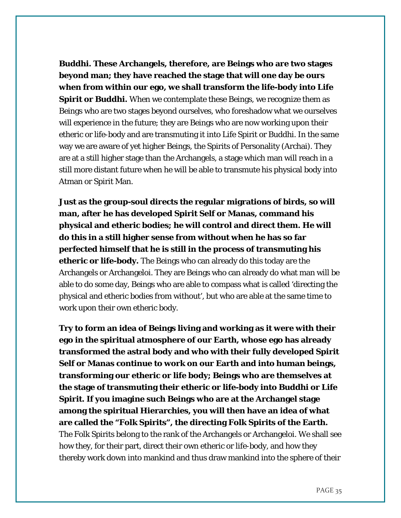**Buddhi. These Archangels, therefore, are Beings who are two stages beyond man; they have reached the stage that will one day be ours when from within our ego, we shall transform the life-body into Life Spirit or Buddhi.** When we contemplate these Beings, we recognize them as Beings who are two stages beyond ourselves, who foreshadow what we ourselves will experience in the future; they are Beings who are now working upon their etheric or life-body and are transmuting it into Life Spirit or Buddhi. In the same way we are aware of yet higher Beings, the Spirits of Personality (Archai). They are at a still higher stage than the Archangels, a stage which man will reach in a still more distant future when he will be able to transmute his physical body into Atman or Spirit Man.

**Just as the group-soul directs the regular migrations of birds, so will man, after he has developed Spirit Self or Manas, command his physical and etheric bodies; he will control and direct them. He will do this in a still higher sense from without when he has so far perfected himself that he is still in the process of transmuting his etheric or life-body.** The Beings who can already do this today are the Archangels or Archangeloi. They are Beings who can already do what man will be able to do some day, Beings who are able to compass what is called 'directing the physical and etheric bodies from without', but who are able at the same time to work upon their own etheric body.

**Try to form an idea of Beings living and working as it were with their ego in the spiritual atmosphere of our Earth, whose ego has already transformed the astral body and who with their fully developed Spirit Self or Manas continue to work on our Earth and into human beings, transforming our etheric or life body; Beings who are themselves at the stage of transmuting their etheric or life-body into Buddhi or Life Spirit. If you imagine such Beings who are at the Archangel stage among the spiritual Hierarchies, you will then have an idea of what are called the "Folk Spirits", the directing Folk Spirits of the Earth.** The Folk Spirits belong to the rank of the Archangels or Archangeloi. We shall see how they, for their part, direct their own etheric or life-body, and how they thereby work down into mankind and thus draw mankind into the sphere of their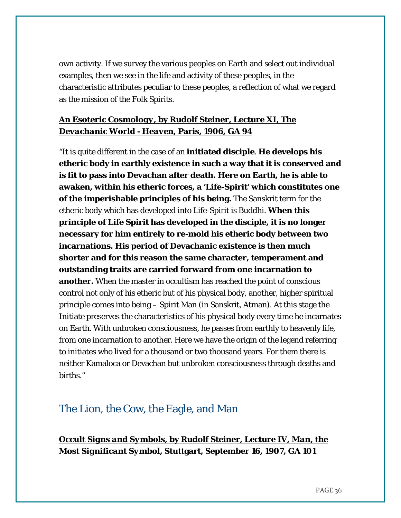own activity. If we survey the various peoples on Earth and select out individual examples, then we see in the life and activity of these peoples, in the characteristic attributes peculiar to these peoples, a reflection of what we regard as the mission of the Folk Spirits.

#### *An Esoteric Cosmology***, by Rudolf Steiner, Lecture XI,** *The Devachanic World - Heaven***, Paris, 1906, GA 94**

"It is quite different in the case of an **initiated disciple**. **He develops his etheric body in earthly existence in such a way that it is conserved and is fit to pass into Devachan after death. Here on Earth, he is able to awaken, within his etheric forces, a 'Life-Spirit' which constitutes one of the imperishable principles of his being.** The Sanskrit term for the etheric body which has developed into Life-Spirit is Buddhi. **When this principle of Life Spirit has developed in the disciple, it is no longer necessary for him entirely to re-mold his etheric body between two incarnations. His period of Devachanic existence is then much shorter and for this reason the same character, temperament and outstanding traits are carried forward from one incarnation to another.** When the master in occultism has reached the point of conscious control not only of his etheric but of his physical body, another, higher spiritual principle comes into being – Spirit Man (in Sanskrit, Atman). At this stage the Initiate preserves the characteristics of his physical body every time he incarnates on Earth. With unbroken consciousness, he passes from earthly to heavenly life, from one incarnation to another. Here we have the origin of the legend referring to initiates who lived for a thousand or two thousand years. For them there is neither Kamaloca or Devachan but unbroken consciousness through deaths and births."

### The Lion, the Cow, the Eagle, and Man

*Occult Signs and Symbols***, by Rudolf Steiner, Lecture IV,** *Man, the Most Significant Symbol***, Stuttgart, September 16, 1907, GA 101**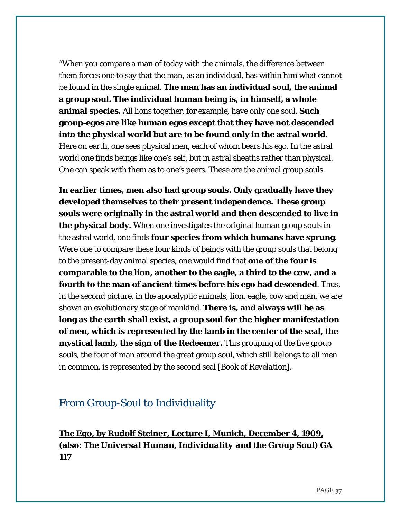"When you compare a man of today with the animals, the difference between them forces one to say that the man, as an individual, has within him what cannot be found in the single animal. **The man has an individual soul, the animal a group soul. The individual human being is, in himself, a whole animal species.** All lions together, for example, have only one soul. **Such group-egos are like human egos except that they have not descended into the physical world but are to be found only in the astral world**. Here on earth, one sees physical men, each of whom bears his ego. In the astral world one finds beings like one's self, but in astral sheaths rather than physical. One can speak with them as to one's peers. These are the animal group souls.

**In earlier times, men also had group souls. Only gradually have they developed themselves to their present independence. These group souls were originally in the astral world and then descended to live in the physical body.** When one investigates the original human group souls in the astral world, one finds **four species from which humans have sprung**. Were one to compare these four kinds of beings with the group souls that belong to the present-day animal species, one would find that **one of the four is comparable to the lion, another to the eagle, a third to the cow, and a fourth to the man of ancient times before his ego had descended**. Thus, in the second picture, in the apocalyptic animals, lion, eagle, cow and man, we are shown an evolutionary stage of mankind. **There is, and always will be as long as the earth shall exist, a group soul for the higher manifestation of men, which is represented by the lamb in the center of the seal, the mystical lamb, the sign of the Redeemer.** This grouping of the five group souls, the four of man around the great group soul, which still belongs to all men in common, is represented by the second seal [*Book of Revelation*].

### From Group-Soul to Individuality

*The Ego***, by Rudolf Steiner, Lecture I, Munich, December 4, 1909, (also:** *The Universal Human, Individuality and the Group Soul***) GA 117**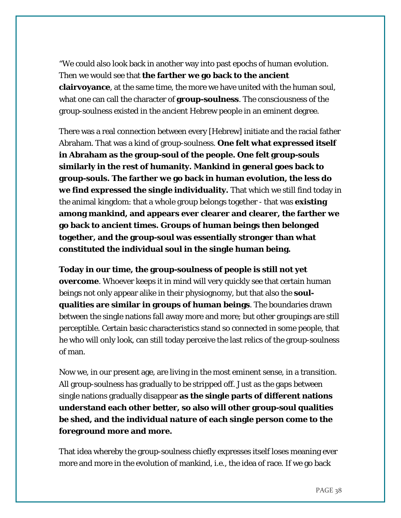"We could also look back in another way into past epochs of human evolution. Then we would see that **the farther we go back to the ancient clairvoyance**, at the same time, the more we have united with the human soul, what one can call the character of **group-soulness**. The consciousness of the group-soulness existed in the ancient Hebrew people in an eminent degree.

There was a real connection between every [Hebrew] initiate and the racial father Abraham. That was a kind of group-soulness. **One felt what expressed itself in Abraham as the group-soul of the people. One felt group-souls similarly in the rest of humanity. Mankind in general goes back to group-souls. The farther we go back in human evolution, the less do we find expressed the single individuality.** That which we still find today in the animal kingdom: that a whole group belongs together - that was **existing among mankind, and appears ever clearer and clearer, the farther we go back to ancient times. Groups of human beings then belonged together, and the group-soul was essentially stronger than what constituted the individual soul in the single human being.** 

**Today in our time, the group-soulness of people is still not yet overcome**. Whoever keeps it in mind will very quickly see that certain human beings not only appear alike in their physiognomy, but that also the **soulqualities are similar in groups of human beings**. The boundaries drawn between the single nations fall away more and more; but other groupings are still perceptible. Certain basic characteristics stand so connected in some people, that he who will only look, can still today perceive the last relics of the group-soulness of man.

Now we, in our present age, are living in the most eminent sense, in a transition. All group-soulness has gradually to be stripped off. Just as the gaps between single nations gradually disappear **as the single parts of different nations understand each other better, so also will other group-soul qualities be shed, and the individual nature of each single person come to the foreground more and more.** 

That idea whereby the group-soulness chiefly expresses itself loses meaning ever more and more in the evolution of mankind, i.e., the idea of race. If we go back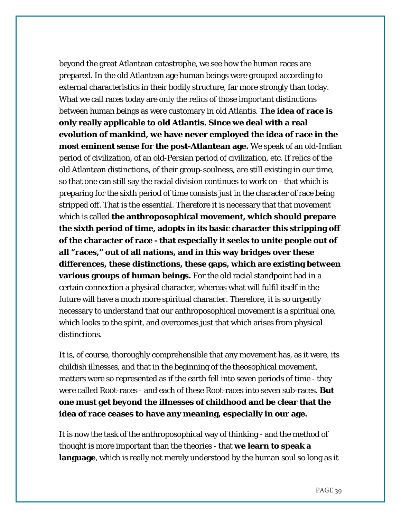beyond the great Atlantean catastrophe, we see how the human races are prepared. In the old Atlantean age human beings were grouped according to external characteristics in their bodily structure, far more strongly than today. What we call races today are only the relics of those important distinctions between human beings as were customary in old Atlantis. **The idea of race is only really applicable to old Atlantis. Since we deal with a real evolution of mankind, we have never employed the idea of race in the most eminent sense for the post-Atlantean age.** We speak of an old-Indian period of civilization, of an old-Persian period of civilization, etc. If relics of the old Atlantean distinctions, of their group-soulness, are still existing in our time, so that one can still say the racial division continues to work on - that which is preparing for the sixth period of time consists just in the character of race being stripped off. That is the essential. Therefore it is necessary that that movement which is called **the anthroposophical movement, which should prepare the sixth period of time, adopts in its basic character this stripping off of the character of race - that especially it seeks to unite people out of all "races," out of all nations, and in this way bridges over these differences, these distinctions, these gaps, which are existing between various groups of human beings.** For the old racial standpoint had in a certain connection a physical character, whereas what will fulfil itself in the future will have a much more spiritual character. Therefore, it is so urgently necessary to understand that our anthroposophical movement is a spiritual one, which looks to the spirit, and overcomes just that which arises from physical distinctions.

It is, of course, thoroughly comprehensible that any movement has, as it were, its childish illnesses, and that in the beginning of the theosophical movement, matters were so represented as if the earth fell into seven periods of time - they were called Root-races - and each of these Root-races into seven sub-races. **But one must get beyond the illnesses of childhood and be clear that the idea of race ceases to have any meaning, especially in our age.** 

It is now the task of the anthroposophical way of thinking - and the method of thought is more important than the theories - that **we learn to speak a language**, which is really not merely understood by the human soul so long as it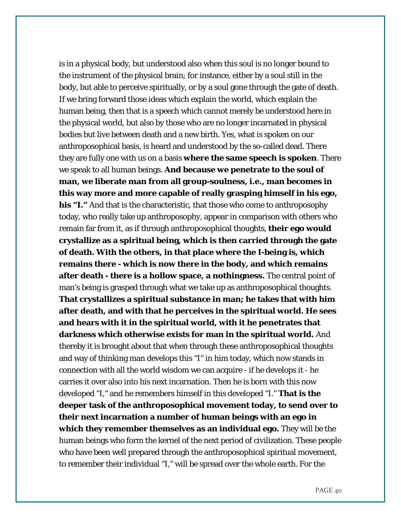is in a physical body, but understood also when this soul is no longer bound to the instrument of the physical brain; for instance, either by a soul still in the body, but able to perceive spiritually, or by a soul gone through the gate of death. If we bring forward those ideas which explain the world, which explain the human being, then that is a speech which cannot merely be understood here in the physical world, but also by those who are no longer incarnated in physical bodies but live between death and a new birth. Yes, what is spoken on our anthroposophical basis, is heard and understood by the so-called dead. There they are fully one with us on a basis **where the same speech is spoken**. There we speak to all human beings. **And because we penetrate to the soul of man, we liberate man from all group-soulness, i.e., man becomes in this way more and more capable of really grasping himself in his ego, his "I."** And that is the characteristic, that those who come to anthroposophy today, who really take up anthroposophy, appear in comparison with others who remain far from it, as if through anthroposophical thoughts, **their ego would crystallize as a spiritual being, which is then carried through the gate of death. With the others, in that place where the I-being is, which remains there - which is now there in the body, and which remains after death - there is a hollow space, a nothingness.** The central point of man's being is grasped through what we take up as anthroposophical thoughts. **That crystallizes a spiritual substance in man; he takes that with him after death, and with that he perceives in the spiritual world. He sees and hears with it in the spiritual world, with it he penetrates that darkness which otherwise exists for man in the spiritual world.** And thereby it is brought about that when through these anthroposophical thoughts and way of thinking man develops this "I" in him today, which now stands in connection with all the world wisdom we can acquire - if he develops it - he carries it over also into his next incarnation. Then he is born with this now developed "I," and he remembers himself in this developed "I." **That is the deeper task of the anthroposophical movement today, to send over to their next incarnation a number of human beings with an ego in which they remember themselves as an individual ego.** They will be the human beings who form the kernel of the next period of civilization. These people who have been well prepared through the anthroposophical spiritual movement, to remember their individual "I," will be spread over the whole earth. For the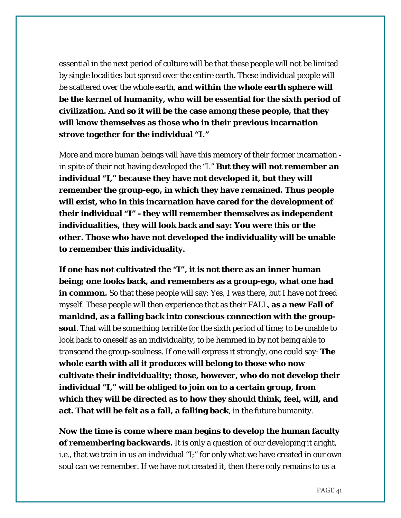essential in the next period of culture will be that these people will not be limited by single localities but spread over the entire earth. These individual people will be scattered over the whole earth, **and within the whole earth sphere will be the kernel of humanity, who will be essential for the sixth period of civilization. And so it will be the case among these people, that they will know themselves as those who in their previous incarnation strove together for the individual "I."** 

More and more human beings will have this memory of their former incarnation in spite of their not having developed the "I." **But they will not remember an individual "I," because they have not developed it, but they will remember the group-ego, in which they have remained. Thus people will exist, who in this incarnation have cared for the development of their individual "I" - they will remember themselves as independent individualities, they will look back and say: You were this or the other. Those who have not developed the individuality will be unable to remember this individuality.** 

**If one has not cultivated the "I", it is not there as an inner human being; one looks back, and remembers as a group-ego, what one had in common.** So that these people will say: Yes, I was there, but I have not freed myself. These people will then experience that as their FALL, **as a new Fall of mankind, as a falling back into conscious connection with the groupsoul**. That will be something terrible for the sixth period of time; to be unable to look back to oneself as an individuality, to be hemmed in by not being able to transcend the group-soulness. If one will express it strongly, one could say: **The whole earth with all it produces will belong to those who now cultivate their individuality; those, however, who do not develop their individual "I," will be obliged to join on to a certain group, from which they will be directed as to how they should think, feel, will, and act. That will be felt as a fall, a falling back**, in the future humanity.

**Now the time is come where man begins to develop the human faculty of remembering backwards.** It is only a question of our developing it aright, i.e., that we train in us an individual "I;" for only what we have created in our own soul can we remember. If we have not created it, then there only remains to us a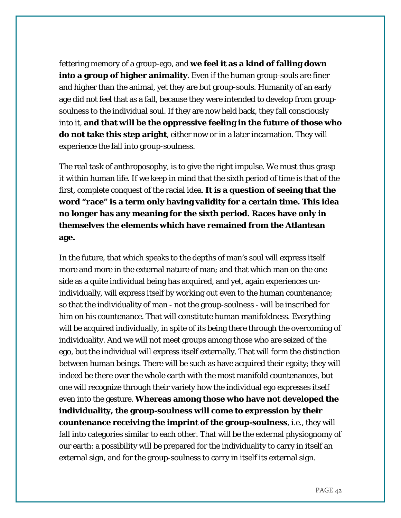fettering memory of a group-ego, and **we feel it as a kind of falling down into a group of higher animality**. Even if the human group-souls are finer and higher than the animal, yet they are but group-souls. Humanity of an early age did not feel that as a fall, because they were intended to develop from groupsoulness to the individual soul. If they are now held back, they fall consciously into it, **and that will be the oppressive feeling in the future of those who do not take this step aright**, either now or in a later incarnation. They will experience the fall into group-soulness.

The real task of anthroposophy, is to give the right impulse. We must thus grasp it within human life. If we keep in mind that the sixth period of time is that of the first, complete conquest of the racial idea. **It is a question of seeing that the word "race" is a term only having validity for a certain time. This idea no longer has any meaning for the sixth period. Races have only in themselves the elements which have remained from the Atlantean age.** 

In the future, that which speaks to the depths of man's soul will express itself more and more in the external nature of man; and that which man on the one side as a quite individual being has acquired, and yet, again experiences unindividually, will express itself by working out even to the human countenance; so that the individuality of man - not the group-soulness - will be inscribed for him on his countenance. That will constitute human manifoldness. Everything will be acquired individually, in spite of its being there through the overcoming of individuality. And we will not meet groups among those who are seized of the ego, but the individual will express itself externally. That will form the distinction between human beings. There will be such as have acquired their egoity; they will indeed be there over the whole earth with the most manifold countenances, but one will recognize through their variety how the individual ego expresses itself even into the gesture. **Whereas among those who have not developed the individuality, the group-soulness will come to expression by their countenance receiving the imprint of the group-soulness**, i.e., they will fall into categories similar to each other. That will be the external physiognomy of our earth: a possibility will be prepared for the individuality to carry in itself an external sign, and for the group-soulness to carry in itself its external sign.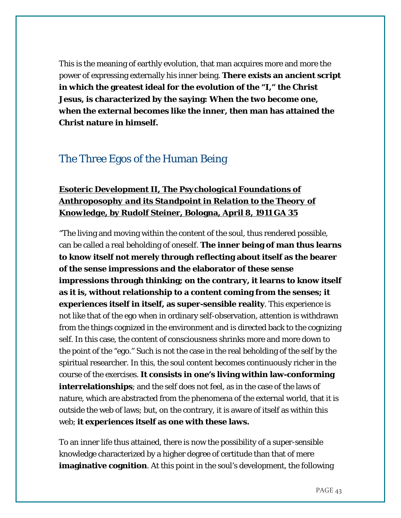This is the meaning of earthly evolution, that man acquires more and more the power of expressing externally his inner being. **There exists an ancient script in which the greatest ideal for the evolution of the "I," the Christ Jesus, is characterized by the saying: When the two become one, when the external becomes like the inner, then man has attained the Christ nature in himself.** 

### The Three Egos of the Human Being

### *Esoteric Development II, The Psychological Foundations of Anthroposophy and its Standpoint in Relation to the Theory of Knowledge***, by Rudolf Steiner, Bologna, April 8, 1911 GA 35**

"The living and moving within the content of the soul, thus rendered possible, can be called a real beholding of oneself. **The inner being of man thus learns to know itself not merely through reflecting about itself as the bearer of the sense impressions and the elaborator of these sense impressions through thinking; on the contrary, it learns to know itself as it is, without relationship to a content coming from the senses; it experiences itself in itself, as super-sensible reality**. This experience is not like that of the ego when in ordinary self-observation, attention is withdrawn from the things cognized in the environment and is directed back to the cognizing self. In this case, the content of consciousness shrinks more and more down to the point of the "ego." Such is not the case in the real beholding of the self by the spiritual researcher. In this, the soul content becomes continuously richer in the course of the exercises. **It consists in one's living within law-conforming interrelationships**; and the self does not feel, as in the case of the laws of nature, which are abstracted from the phenomena of the external world, that it is outside the web of laws; but, on the contrary, it is aware of itself as within this web; **it experiences itself as one with these laws.** 

To an inner life thus attained, there is now the possibility of a super-sensible knowledge characterized by a higher degree of certitude than that of mere **imaginative cognition**. At this point in the soul's development, the following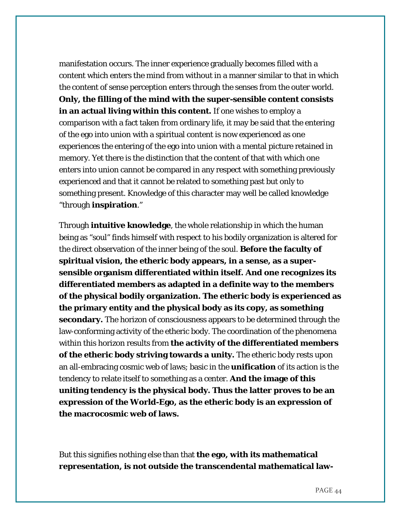manifestation occurs. The inner experience gradually becomes filled with a content which enters the mind from without in a manner similar to that in which the content of sense perception enters through the senses from the outer world. **Only, the filling of the mind with the super-sensible content consists in an actual living within this content.** If one wishes to employ a comparison with a fact taken from ordinary life, it may be said that the entering of the ego into union with a spiritual content is now experienced as one experiences the entering of the ego into union with a mental picture retained in memory. Yet there is the distinction that the content of that with which one enters into union cannot be compared in any respect with something previously experienced and that it cannot be related to something past but only to something present. Knowledge of this character may well be called knowledge "through **inspiration**."

Through **intuitive knowledge**, the whole relationship in which the human being as "soul" finds himself with respect to his bodily organization is altered for the direct observation of the inner being of the soul. **Before the faculty of spiritual vision, the etheric body appears, in a sense, as a supersensible organism differentiated within itself. And one recognizes its differentiated members as adapted in a definite way to the members of the physical bodily organization. The etheric body is experienced as the primary entity and the physical body as its copy, as something secondary.** The horizon of consciousness appears to be determined through the law-conforming activity of the etheric body. The coordination of the phenomena within this horizon results from **the activity of the differentiated members of the etheric body striving towards a unity.** The etheric body rests upon an all-embracing cosmic web of laws; basic in the **unification** of its action is the tendency to relate itself to something as a center. **And the image of this uniting tendency is the physical body. Thus the latter proves to be an expression of the World-Ego, as the etheric body is an expression of the macrocosmic web of laws.** 

But this signifies nothing else than that **the ego, with its mathematical representation, is not outside the transcendental mathematical law-**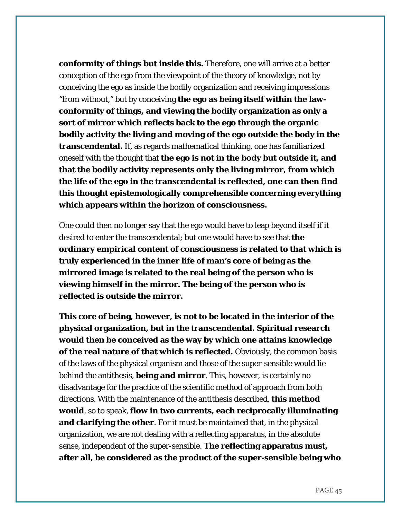**conformity of things but inside this.** Therefore, one will arrive at a better conception of the ego from the viewpoint of the theory of knowledge, not by conceiving the ego as inside the bodily organization and receiving impressions "from without," but by conceiving **the ego as being itself within the lawconformity of things, and viewing the bodily organization as only a sort of mirror which reflects back to the ego through the organic bodily activity the living and moving of the ego outside the body in the transcendental.** If, as regards mathematical thinking, one has familiarized oneself with the thought that **the ego is not in the body but outside it, and that the bodily activity represents only the living mirror, from which the life of the ego in the transcendental is reflected, one can then find this thought epistemologically comprehensible concerning everything which appears within the horizon of consciousness.** 

One could then no longer say that the ego would have to leap beyond itself if it desired to enter the transcendental; but one would have to see that **the ordinary empirical content of consciousness is related to that which is truly experienced in the inner life of man's core of being as the mirrored image is related to the real being of the person who is viewing himself in the mirror. The being of the person who is reflected is outside the mirror.** 

**This core of being, however, is not to be located in the interior of the physical organization, but in the transcendental. Spiritual research would then be conceived as the way by which one attains knowledge of the real nature of that which is reflected.** Obviously, the common basis of the laws of the physical organism and those of the super-sensible would lie behind the antithesis, **being and mirror**. This, however, is certainly no disadvantage for the practice of the scientific method of approach from both directions. With the maintenance of the antithesis described, **this method would**, so to speak, **flow in two currents, each reciprocally illuminating and clarifying the other**. For it must be maintained that, in the physical organization, we are not dealing with a reflecting apparatus, in the absolute sense, independent of the super-sensible. **The reflecting apparatus must, after all, be considered as the product of the super-sensible being who**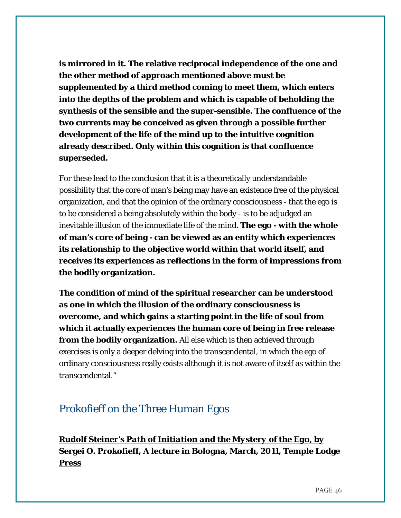**is mirrored in it. The relative reciprocal independence of the one and the other method of approach mentioned above must be supplemented by a third method coming to meet them, which enters into the depths of the problem and which is capable of beholding the synthesis of the sensible and the super-sensible. The confluence of the two currents may be conceived as given through a possible further development of the life of the mind up to the intuitive cognition already described. Only within this cognition is that confluence superseded.** 

For these lead to the conclusion that it is a theoretically understandable possibility that the core of man's being may have an existence free of the physical organization, and that the opinion of the ordinary consciousness - that the ego is to be considered a being absolutely within the body - is to be adjudged an inevitable illusion of the immediate life of the mind. **The ego - with the whole of man's core of being - can be viewed as an entity which experiences its relationship to the objective world within that world itself, and receives its experiences as reflections in the form of impressions from the bodily organization.** 

**The condition of mind of the spiritual researcher can be understood as one in which the illusion of the ordinary consciousness is overcome, and which gains a starting point in the life of soul from which it actually experiences the human core of being in free release from the bodily organization.** All else which is then achieved through exercises is only a deeper delving into the transcendental, in which the ego of ordinary consciousness really exists although it is not aware of itself as within the transcendental."

### Prokofieff on the Three Human Egos

*Rudolf Steiner's Path of Initiation and the Mystery of the Ego***, by Sergei O. Prokofieff, A lecture in Bologna, March, 2011, Temple Lodge Press**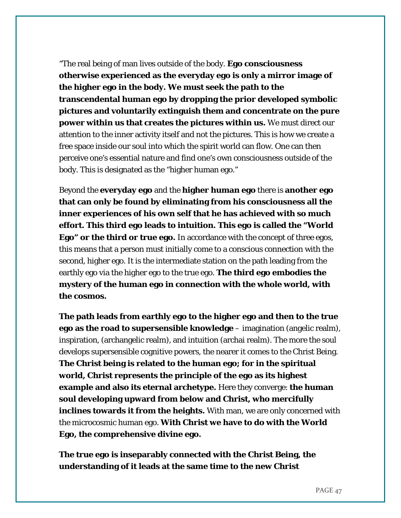"The real being of man lives outside of the body. **Ego consciousness otherwise experienced as the everyday ego is only a mirror image of the higher ego in the body. We must seek the path to the transcendental human ego by dropping the prior developed symbolic pictures and voluntarily extinguish them and concentrate on the pure power within us that creates the pictures within us.** We must direct our attention to the inner activity itself and not the pictures. This is how we create a free space inside our soul into which the spirit world can flow. One can then perceive one's essential nature and find one's own consciousness outside of the body. This is designated as the "higher human ego."

Beyond the **everyday ego** and the **higher human ego** there is **another ego that can only be found by eliminating from his consciousness all the inner experiences of his own self that he has achieved with so much effort. This third ego leads to intuition. This ego is called the "World Ego" or the third or true ego.** In accordance with the concept of three egos, this means that a person must initially come to a conscious connection with the second, higher ego. It is the intermediate station on the path leading from the earthly ego via the higher ego to the true ego. **The third ego embodies the mystery of the human ego in connection with the whole world, with the cosmos.**

**The path leads from earthly ego to the higher ego and then to the true ego as the road to supersensible knowledge** – imagination (angelic realm), inspiration, (archangelic realm), and intuition (archai realm). The more the soul develops supersensible cognitive powers, the nearer it comes to the Christ Being. **The Christ being is related to the human ego; for in the spiritual world, Christ represents the principle of the ego as its highest example and also its eternal archetype.** Here they converge: **the human soul developing upward from below and Christ, who mercifully inclines towards it from the heights.** With man, we are only concerned with the microcosmic human ego. **With Christ we have to do with the World Ego, the comprehensive divine ego.** 

**The true ego is inseparably connected with the Christ Being, the understanding of it leads at the same time to the new Christ**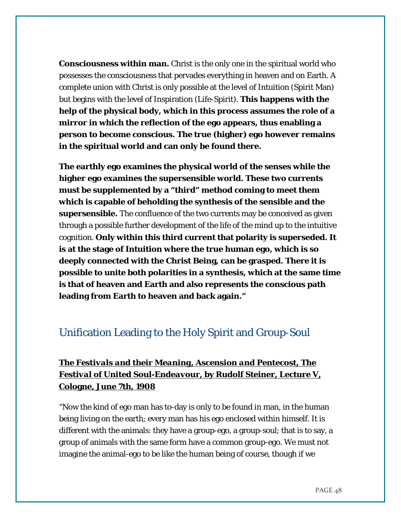**Consciousness within man.** Christ is the only one in the spiritual world who possesses the consciousness that pervades everything in heaven and on Earth. A complete union with Christ is only possible at the level of Intuition (Spirit Man) but begins with the level of Inspiration (Life-Spirit). **This happens with the help of the physical body, which in this process assumes the role of a mirror in which the reflection of the ego appears, thus enabling a person to become conscious. The true (higher) ego however remains in the spiritual world and can only be found there.** 

**The earthly ego examines the physical world of the senses while the higher ego examines the supersensible world. These two currents must be supplemented by a "third" method coming to meet them which is capable of beholding the synthesis of the sensible and the supersensible.** The confluence of the two currents may be conceived as given through a possible further development of the life of the mind up to the intuitive cognition. **Only within this third current that polarity is superseded. It is at the stage of Intuition where the true human ego, which is so deeply connected with the Christ Being, can be grasped. There it is possible to unite both polarities in a synthesis, which at the same time is that of heaven and Earth and also represents the conscious path leading from Earth to heaven and back again."** 

## Unification Leading to the Holy Spirit and Group-Soul

### *The Festivals and their Meaning, Ascension and Pentecost, The Festival of United Soul-Endeavour***, by Rudolf Steiner, Lecture V, Cologne, June 7th, 1908**

"Now the kind of ego man has to-day is only to be found in man, in the human being living on the earth; every man has his ego enclosed within himself. It is different with the animals: they have a group-ego, a group-soul; that is to say, a group of animals with the same form have a common group-ego. We must not imagine the animal-ego to be like the human being of course, though if we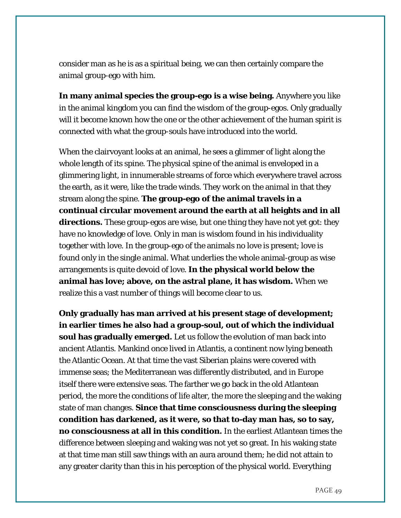consider man as he is as a spiritual being, we can then certainly compare the animal group-ego with him.

**In many animal species the group-ego is a wise being.** Anywhere you like in the animal kingdom you can find the wisdom of the group-egos. Only gradually will it become known how the one or the other achievement of the human spirit is connected with what the group-souls have introduced into the world.

When the clairvoyant looks at an animal, he sees a glimmer of light along the whole length of its spine. The physical spine of the animal is enveloped in a glimmering light, in innumerable streams of force which everywhere travel across the earth, as it were, like the trade winds. They work on the animal in that they stream along the spine. **The group-ego of the animal travels in a continual circular movement around the earth at all heights and in all directions.** These group-egos are wise, but one thing they have not yet got: they have no knowledge of love. Only in man is wisdom found in his individuality together with love. In the group-ego of the animals no love is present; love is found only in the single animal. What underlies the whole animal-group as wise arrangements is quite devoid of love. **In the physical world below the animal has love; above, on the astral plane, it has wisdom.** When we realize this a vast number of things will become clear to us.

**Only gradually has man arrived at his present stage of development; in earlier times he also had a group-soul, out of which the individual soul has gradually emerged.** Let us follow the evolution of man back into ancient Atlantis. Mankind once lived in Atlantis, a continent now lying beneath the Atlantic Ocean. At that time the vast Siberian plains were covered with immense seas; the Mediterranean was differently distributed, and in Europe itself there were extensive seas. The farther we go back in the old Atlantean period, the more the conditions of life alter, the more the sleeping and the waking state of man changes. **Since that time consciousness during the sleeping condition has darkened, as it were, so that to-day man has, so to say, no consciousness at all in this condition.** In the earliest Atlantean times the difference between sleeping and waking was not yet so great. In his waking state at that time man still saw things with an aura around them; he did not attain to any greater clarity than this in his perception of the physical world. Everything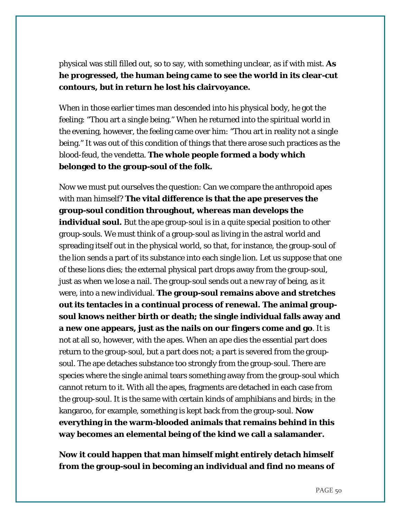physical was still filled out, so to say, with something unclear, as if with mist. **As he progressed, the human being came to see the world in its clear-cut contours, but in return he lost his clairvoyance.**

When in those earlier times man descended into his physical body, he got the feeling: "Thou art a single being." When he returned into the spiritual world in the evening, however, the feeling came over him: "Thou art in reality not a single being." It was out of this condition of things that there arose such practices as the blood-feud, the vendetta. **The whole people formed a body which belonged to the group-soul of the folk.** 

Now we must put ourselves the question: Can we compare the anthropoid apes with man himself? **The vital difference is that the ape preserves the group-soul condition throughout, whereas man develops the individual soul.** But the ape group-soul is in a quite special position to other group-souls. We must think of a group-soul as living in the astral world and spreading itself out in the physical world, so that, for instance, the group-soul of the lion sends a part of its substance into each single lion. Let us suppose that one of these lions dies; the external physical part drops away from the group-soul, just as when we lose a nail. The group-soul sends out a new ray of being, as it were, into a new individual. **The group-soul remains above and stretches out its tentacles in a continual process of renewal. The animal groupsoul knows neither birth or death; the single individual falls away and a new one appears, just as the nails on our fingers come and go**. It is not at all so, however, with the apes. When an ape dies the essential part does return to the group-soul, but a part does not; a part is severed from the groupsoul. The ape detaches substance too strongly from the group-soul. There are species where the single animal tears something away from the group-soul which cannot return to it. With all the apes, fragments are detached in each case from the group-soul. It is the same with certain kinds of amphibians and birds; in the kangaroo, for example, something is kept back from the group-soul. **Now everything in the warm-blooded animals that remains behind in this way becomes an elemental being of the kind we call a salamander.**

**Now it could happen that man himself might entirely detach himself from the group-soul in becoming an individual and find no means of**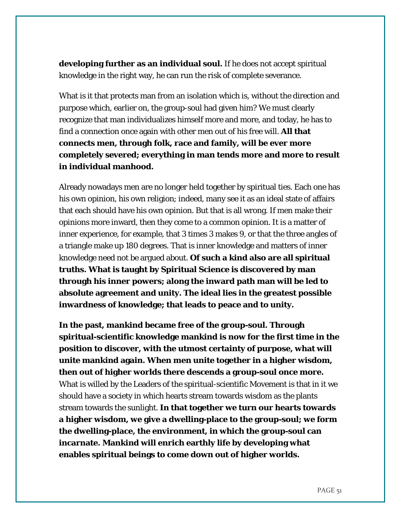**developing further as an individual soul.** If he does not accept spiritual knowledge in the right way, he can run the risk of complete severance.

What is it that protects man from an isolation which is, without the direction and purpose which, earlier on, the group-soul had given him? We must clearly recognize that man individualizes himself more and more, and today, he has to find a connection once again with other men out of his free will. **All that connects men, through folk, race and family, will be ever more completely severed; everything in man tends more and more to result in individual manhood.** 

Already nowadays men are no longer held together by spiritual ties. Each one has his own opinion, his own religion; indeed, many see it as an ideal state of affairs that each should have his own opinion. But that is all wrong. If men make their opinions more inward, then they come to a common opinion. It is a matter of inner experience, for example, that 3 times 3 makes 9, or that the three angles of a triangle make up 180 degrees. That is inner knowledge and matters of inner knowledge need not be argued about. **Of such a kind also are all spiritual truths. What is taught by Spiritual Science is discovered by man through his inner powers; along the inward path man will be led to absolute agreement and unity. The ideal lies in the greatest possible inwardness of knowledge; that leads to peace and to unity.** 

**In the past, mankind became free of the group-soul. Through spiritual-scientific knowledge mankind is now for the first time in the position to discover, with the utmost certainty of purpose, what will unite mankind again. When men unite together in a higher wisdom, then out of higher worlds there descends a group-soul once more.** What is willed by the Leaders of the spiritual-scientific Movement is that in it we should have a society in which hearts stream towards wisdom as the plants stream towards the sunlight. **In that together we turn our hearts towards a higher wisdom, we give a dwelling-place to the group-soul; we form the dwelling-place, the environment, in which the group-soul can incarnate. Mankind will enrich earthly life by developing what enables spiritual beings to come down out of higher worlds.**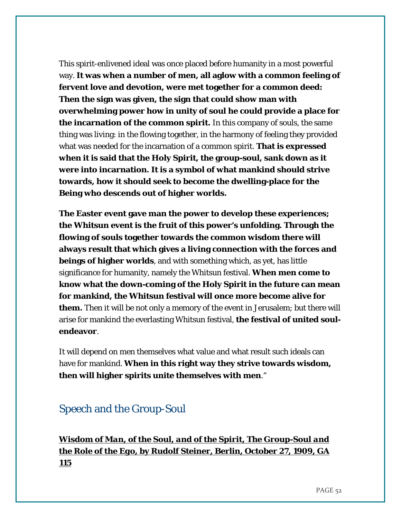This spirit-enlivened ideal was once placed before humanity in a most powerful way. **It was when a number of men, all aglow with a common feeling of fervent love and devotion, were met together for a common deed: Then the sign was given, the sign that could show man with overwhelming power how in unity of soul he could provide a place for the incarnation of the common spirit.** In this company of souls, the same thing was living: in the flowing together, in the harmony of feeling they provided what was needed for the incarnation of a common spirit. **That is expressed when it is said that the Holy Spirit, the group-soul, sank down as it were into incarnation. It is a symbol of what mankind should strive towards, how it should seek to become the dwelling-place for the Being who descends out of higher worlds.** 

**The Easter event gave man the power to develop these experiences; the Whitsun event is the fruit of this power's unfolding. Through the flowing of souls together towards the common wisdom there will always result that which gives a living connection with the forces and beings of higher worlds**, and with something which, as yet, has little significance for humanity, namely the Whitsun festival. **When men come to know what the down-coming of the Holy Spirit in the future can mean for mankind, the Whitsun festival will once more become alive for them.** Then it will be not only a memory of the event in Jerusalem; but there will arise for mankind the everlasting Whitsun festival, **the festival of united soulendeavor**.

It will depend on men themselves what value and what result such ideals can have for mankind. **When in this right way they strive towards wisdom, then will higher spirits unite themselves with men**."

## Speech and the Group-Soul

*Wisdom of Man, of the Soul, and of the Spirit, The Group-Soul and the Role of the Ego***, by Rudolf Steiner, Berlin, October 27, 1909, GA 115**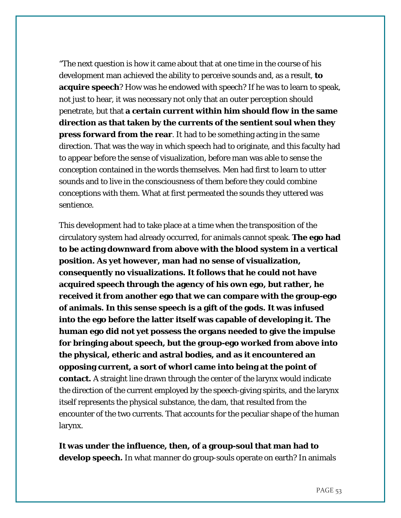"The next question is how it came about that at one time in the course of his development man achieved the ability to perceive sounds and, as a result, **to acquire speech**? How was he endowed with speech? If he was to learn to speak, not just to hear, it was necessary not only that an outer perception should penetrate, but that **a certain current within him should flow in the same direction as that taken by the currents of the sentient soul when they press forward from the rear**. It had to be something acting in the same direction. That was the way in which speech had to originate, and this faculty had to appear before the sense of visualization, before man was able to sense the conception contained in the words themselves. Men had first to learn to utter sounds and to live in the consciousness of them before they could combine conceptions with them. What at first permeated the sounds they uttered was sentience.

This development had to take place at a time when the transposition of the circulatory system had already occurred, for animals cannot speak. **The ego had to be acting downward from above with the blood system in a vertical position. As yet however, man had no sense of visualization, consequently no visualizations. It follows that he could not have acquired speech through the agency of his own ego, but rather, he received it from another ego that we can compare with the group-ego of animals. In this sense speech is a gift of the gods. It was infused into the ego before the latter itself was capable of developing it. The human ego did not yet possess the organs needed to give the impulse for bringing about speech, but the group-ego worked from above into the physical, etheric and astral bodies, and as it encountered an opposing current, a sort of whorl came into being at the point of contact.** A straight line drawn through the center of the larynx would indicate the direction of the current employed by the speech-giving spirits, and the larynx itself represents the physical substance, the dam, that resulted from the encounter of the two currents. That accounts for the peculiar shape of the human larynx.

**It was under the influence, then, of a group-soul that man had to develop speech.** In what manner do group-souls operate on earth? In animals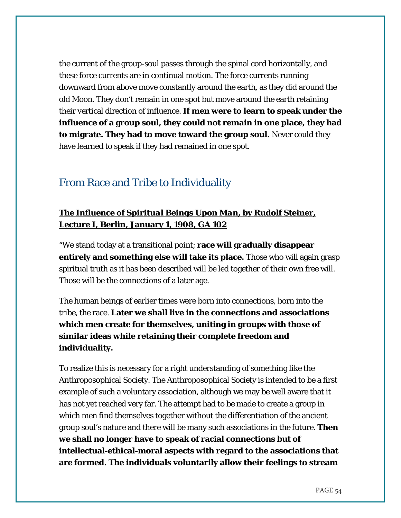the current of the group-soul passes through the spinal cord horizontally, and these force currents are in continual motion. The force currents running downward from above move constantly around the earth, as they did around the old Moon. They don't remain in one spot but move around the earth retaining their vertical direction of influence. **If men were to learn to speak under the influence of a group soul, they could not remain in one place, they had to migrate. They had to move toward the group soul.** Never could they have learned to speak if they had remained in one spot.

# From Race and Tribe to Individuality

### *The Influence of Spiritual Beings Upon Man***, by Rudolf Steiner, Lecture I, Berlin, January 1, 1908, GA 102**

"We stand today at a transitional point; **race will gradually disappear entirely and something else will take its place.** Those who will again grasp spiritual truth as it has been described will be led together of their own free will. Those will be the connections of a later age.

The human beings of earlier times were born into connections, born into the tribe, the race. **Later we shall live in the connections and associations which men create for themselves, uniting in groups with those of similar ideas while retaining their complete freedom and individuality.** 

To realize this is necessary for a right understanding of something like the Anthroposophical Society. The Anthroposophical Society is intended to be a first example of such a voluntary association, although we may be well aware that it has not yet reached very far. The attempt had to be made to create a group in which men find themselves together without the differentiation of the ancient group soul's nature and there will be many such associations in the future. **Then we shall no longer have to speak of racial connections but of intellectual-ethical-moral aspects with regard to the associations that are formed. The individuals voluntarily allow their feelings to stream**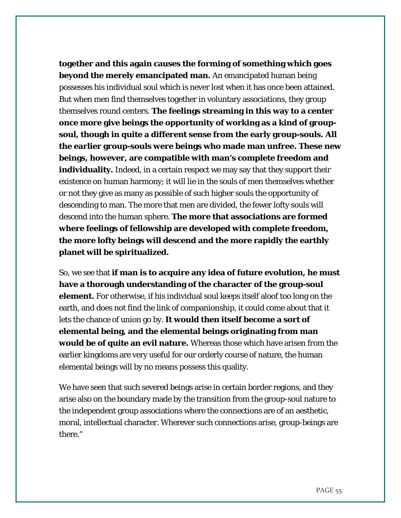**together and this again causes the forming of something which goes beyond the merely emancipated man.** An emancipated human being possesses his individual soul which is never lost when it has once been attained. But when men find themselves together in voluntary associations, they group themselves round centers. **The feelings streaming in this way to a center once more give beings the opportunity of working as a kind of groupsoul, though in quite a different sense from the early group-souls. All the earlier group-souls were beings who made man unfree. These new beings, however, are compatible with man's complete freedom and individuality.** Indeed, in a certain respect we may say that they support their existence on human harmony; it will lie in the souls of men themselves whether or not they give as many as possible of such higher souls the opportunity of descending to man. The more that men are divided, the fewer lofty souls will descend into the human sphere. **The more that associations are formed where feelings of fellowship are developed with complete freedom, the more lofty beings will descend and the more rapidly the earthly planet will be spiritualized.** 

So, we see that **if man is to acquire any idea of future evolution, he must have a thorough understanding of the character of the group-soul element.** For otherwise, if his individual soul keeps itself aloof too long on the earth, and does not find the link of companionship, it could come about that it lets the chance of union go by. **It would then itself become a sort of elemental being, and the elemental beings originating from man would be of quite an evil nature.** Whereas those which have arisen from the earlier kingdoms are very useful for our orderly course of nature, the human elemental beings will by no means possess this quality.

We have seen that such severed beings arise in certain border regions, and they arise also on the boundary made by the transition from the group-soul nature to the independent group associations where the connections are of an aesthetic, moral, intellectual character. Wherever such connections arise, group-beings are there."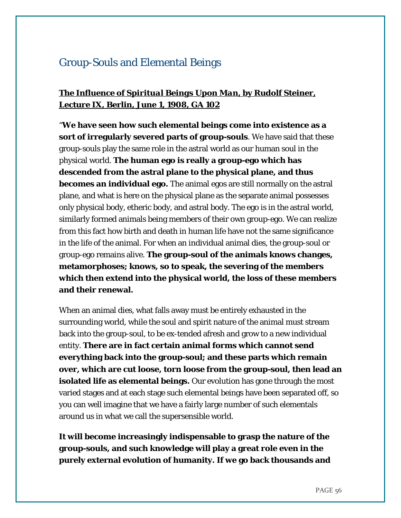# Group-Souls and Elemental Beings

#### *The Influence of Spiritual Beings Upon Man***, by Rudolf Steiner, Lecture IX, Berlin, June 1, 1908, GA 102**

"**We have seen how such elemental beings come into existence as a sort of irregularly severed parts of group-souls**. We have said that these group-souls play the same role in the astral world as our human soul in the physical world. **The human ego is really a group-ego which has descended from the astral plane to the physical plane, and thus becomes an individual ego.** The animal egos are still normally on the astral plane, and what is here on the physical plane as the separate animal possesses only physical body, etheric body, and astral body. The ego is in the astral world, similarly formed animals being members of their own group-ego. We can realize from this fact how birth and death in human life have not the same significance in the life of the animal. For when an individual animal dies, the group-soul or group-ego remains alive. **The group-soul of the animals knows changes, metamorphoses; knows, so to speak, the severing of the members which then extend into the physical world, the loss of these members and their renewal.** 

When an animal dies, what falls away must be entirely exhausted in the surrounding world, while the soul and spirit nature of the animal must stream back into the group-soul, to be ex-tended afresh and grow to a new individual entity. **There are in fact certain animal forms which cannot send everything back into the group-soul; and these parts which remain over, which are cut loose, torn loose from the group-soul, then lead an isolated life as elemental beings.** Our evolution has gone through the most varied stages and at each stage such elemental beings have been separated off, so you can well imagine that we have a fairly large number of such elementals around us in what we call the supersensible world.

**It will become increasingly indispensable to grasp the nature of the group-souls, and such knowledge will play a great role even in the purely external evolution of humanity. If we go back thousands and**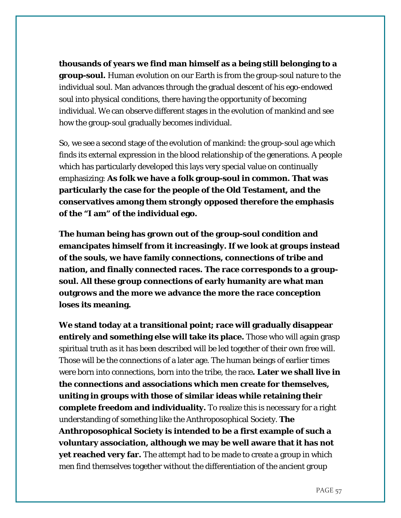**thousands of years we find man himself as a being still belonging to a group-soul.** Human evolution on our Earth is from the group-soul nature to the individual soul. Man advances through the gradual descent of his ego-endowed soul into physical conditions, there having the opportunity of becoming individual. We can observe different stages in the evolution of mankind and see how the group-soul gradually becomes individual.

So, we see a second stage of the evolution of mankind: the group-soul age which finds its external expression in the blood relationship of the generations. A people which has particularly developed this lays very special value on continually emphasizing: **As folk we have a folk group-soul in common. That was particularly the case for the people of the Old Testament, and the conservatives among them strongly opposed therefore the emphasis of the "I am" of the individual ego.** 

**The human being has grown out of the group-soul condition and emancipates himself from it increasingly. If we look at groups instead of the souls, we have family connections, connections of tribe and nation, and finally connected races. The race corresponds to a groupsoul. All these group connections of early humanity are what man outgrows and the more we advance the more the race conception loses its meaning.** 

**We stand today at a transitional point; race will gradually disappear entirely and something else will take its place.** Those who will again grasp spiritual truth as it has been described will be led together of their own free will. Those will be the connections of a later age. The human beings of earlier times were born into connections, born into the tribe, the race**. Later we shall live in the connections and associations which men create for themselves, uniting in groups with those of similar ideas while retaining their complete freedom and individuality.** To realize this is necessary for a right understanding of something like the Anthroposophical Society. **The Anthroposophical Society is intended to be a first example of such a voluntary association, although we may be well aware that it has not yet reached very far.** The attempt had to be made to create a group in which men find themselves together without the differentiation of the ancient group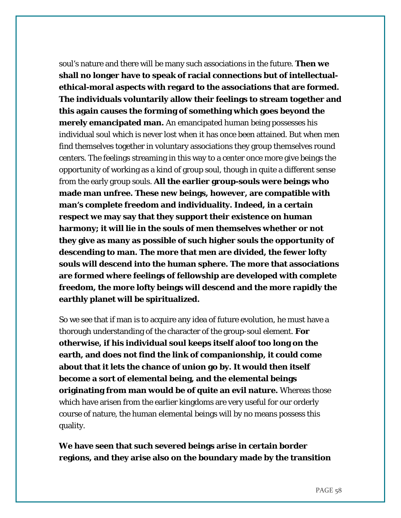soul's nature and there will be many such associations in the future. **Then we shall no longer have to speak of racial connections but of intellectualethical-moral aspects with regard to the associations that are formed. The individuals voluntarily allow their feelings to stream together and this again causes the forming of something which goes beyond the merely emancipated man.** An emancipated human being possesses his individual soul which is never lost when it has once been attained. But when men find themselves together in voluntary associations they group themselves round centers. The feelings streaming in this way to a center once more give beings the opportunity of working as a kind of group soul, though in quite a different sense from the early group souls. **All the earlier group-souls were beings who made man unfree. These new beings, however, are compatible with man's complete freedom and individuality. Indeed, in a certain respect we may say that they support their existence on human harmony; it will lie in the souls of men themselves whether or not they give as many as possible of such higher souls the opportunity of descending to man. The more that men are divided, the fewer lofty souls will descend into the human sphere. The more that associations are formed where feelings of fellowship are developed with complete freedom, the more lofty beings will descend and the more rapidly the earthly planet will be spiritualized.** 

So we see that if man is to acquire any idea of future evolution, he must have a thorough understanding of the character of the group-soul element. **For otherwise, if his individual soul keeps itself aloof too long on the earth, and does not find the link of companionship, it could come about that it lets the chance of union go by. It would then itself become a sort of elemental being, and the elemental beings originating from man would be of quite an evil nature.** Whereas those which have arisen from the earlier kingdoms are very useful for our orderly course of nature, the human elemental beings will by no means possess this quality.

**We have seen that such severed beings arise in certain border regions, and they arise also on the boundary made by the transition**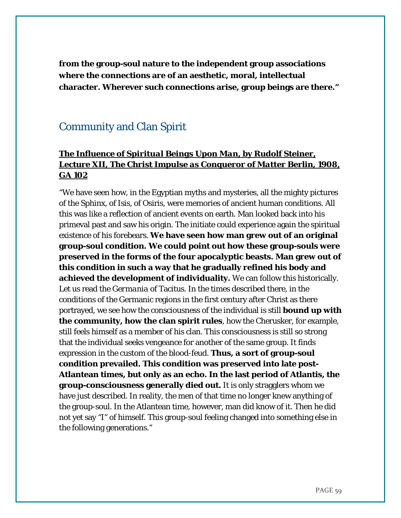**from the group-soul nature to the independent group associations where the connections are of an aesthetic, moral, intellectual character. Wherever such connections arise, group beings are there."** 

### Community and Clan Spirit

#### *The Influence of Spiritual Beings Upon Man***, by Rudolf Steiner, Lecture XII,** *The Christ Impulse as Conqueror of Matter* **Berlin, 1908, GA 102**

"We have seen how, in the Egyptian myths and mysteries, all the mighty pictures of the Sphinx, of Isis, of Osiris, were memories of ancient human conditions. All this was like a reflection of ancient events on earth. Man looked back into his primeval past and saw his origin. The initiate could experience again the spiritual existence of his forebears. **We have seen how man grew out of an original group-soul condition. We could point out how these group-souls were preserved in the forms of the four apocalyptic beasts. Man grew out of this condition in such a way that he gradually refined his body and achieved the development of individuality.** We can follow this historically. Let us read the *Germania* of Tacitus. In the times described there, in the conditions of the Germanic regions in the first century after Christ as there portrayed, we see how the consciousness of the individual is still **bound up with the community, how the clan spirit rules**, how the Cherusker, for example, still feels himself as a member of his clan. This consciousness is still so strong that the individual seeks vengeance for another of the same group. It finds expression in the custom of the blood-feud. **Thus, a sort of group-soul condition prevailed. This condition was preserved into late post-Atlantean times, but only as an echo. In the last period of Atlantis, the group-consciousness generally died out.** It is only stragglers whom we have just described. In reality, the men of that time no longer knew anything of the group-soul. In the Atlantean time, however, man did know of it. Then he did not yet say "I" of himself. This group-soul feeling changed into something else in the following generations."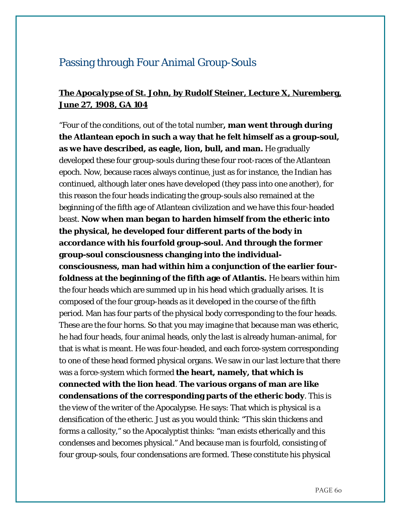### Passing through Four Animal Group-Souls

#### *The Apocalypse of St. John***, by Rudolf Steiner, Lecture X, Nuremberg, June 27, 1908, GA 104**

"Four of the conditions, out of the total number**, man went through during the Atlantean epoch in such a way that he felt himself as a group-soul, as we have described, as eagle, lion, bull, and man.** He gradually developed these four group-souls during these four root-races of the Atlantean epoch. Now, because races always continue, just as for instance, the Indian has continued, although later ones have developed (they pass into one another), for this reason the four heads indicating the group-souls also remained at the beginning of the fifth age of Atlantean civilization and we have this four-headed beast. **Now when man began to harden himself from the etheric into the physical, he developed four different parts of the body in accordance with his fourfold group-soul. And through the former group-soul consciousness changing into the individualconsciousness, man had within him a conjunction of the earlier fourfoldness at the beginning of the fifth age of Atlantis.** He bears within him the four heads which are summed up in his head which gradually arises. It is composed of the four group-heads as it developed in the course of the fifth period. Man has four parts of the physical body corresponding to the four heads. These are the four horns. So that you may imagine that because man was etheric, he had four heads, four animal heads, only the last is already human-animal, for that is what is meant. He was four-headed, and each force-system corresponding to one of these head formed physical organs. We saw in our last lecture that there was a force-system which formed **the heart, namely, that which is connected with the lion head**. **The various organs of man are like condensations of the corresponding parts of the etheric body**. This is the view of the writer of the Apocalypse. He says: That which is physical is a densification of the etheric. Just as you would think: "This skin thickens and forms a callosity," so the Apocalyptist thinks: "man exists etherically and this condenses and becomes physical." And because man is fourfold, consisting of four group-souls, four condensations are formed. These constitute his physical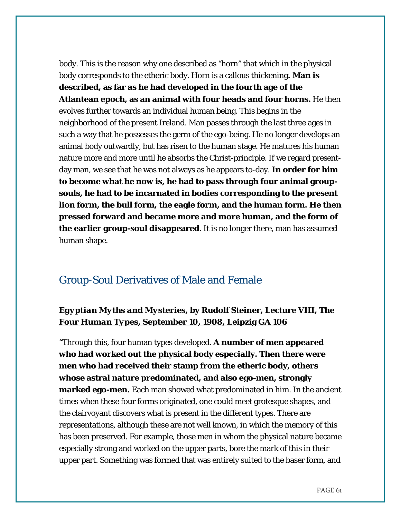body. This is the reason why one described as "horn" that which in the physical body corresponds to the etheric body. Horn is a callous thickening**. Man is described, as far as he had developed in the fourth age of the Atlantean epoch, as an animal with four heads and four horns.** He then evolves further towards an individual human being. This begins in the neighborhood of the present Ireland. Man passes through the last three ages in such a way that he possesses the germ of the ego-being. He no longer develops an animal body outwardly, but has risen to the human stage. He matures his human nature more and more until he absorbs the Christ-principle. If we regard presentday man, we see that he was not always as he appears to-day. **In order for him to become what he now is, he had to pass through four animal groupsouls, he had to be incarnated in bodies corresponding to the present lion form, the bull form, the eagle form, and the human form. He then pressed forward and became more and more human, and the form of the earlier group-soul disappeared**. It is no longer there, man has assumed human shape.

### Group-Soul Derivatives of Male and Female

### *Egyptian Myths and Mysteries***, by Rudolf Steiner, Lecture VIII,** *The Four Human Types***, September 10, 1908, Leipzig GA 106**

"Through this, four human types developed. **A number of men appeared who had worked out the physical body especially. Then there were men who had received their stamp from the etheric body, others whose astral nature predominated, and also ego-men, strongly marked ego-men.** Each man showed what predominated in him. In the ancient times when these four forms originated, one could meet grotesque shapes, and the clairvoyant discovers what is present in the different types. There are representations, although these are not well known, in which the memory of this has been preserved. For example, those men in whom the physical nature became especially strong and worked on the upper parts, bore the mark of this in their upper part. Something was formed that was entirely suited to the baser form, and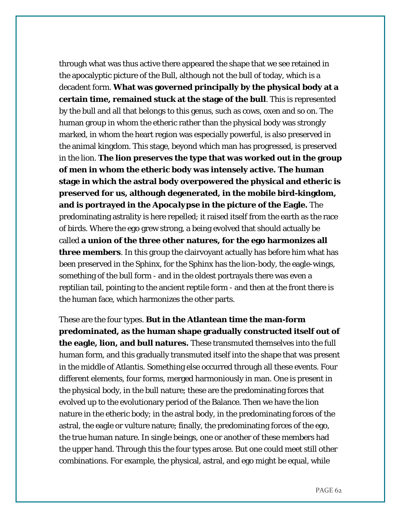through what was thus active there appeared the shape that we see retained in the apocalyptic picture of the Bull, although not the bull of today, which is a decadent form. **What was governed principally by the physical body at a certain time, remained stuck at the stage of the bull**. This is represented by the bull and all that belongs to this genus, such as cows, oxen and so on. The human group in whom the etheric rather than the physical body was strongly marked, in whom the heart region was especially powerful, is also preserved in the animal kingdom. This stage, beyond which man has progressed, is preserved in the lion. **The lion preserves the type that was worked out in the group of men in whom the etheric body was intensely active. The human stage in which the astral body overpowered the physical and etheric is preserved for us, although degenerated, in the mobile bird-kingdom, and is portrayed in the** *Apocalypse* **in the picture of the Eagle.** The predominating astrality is here repelled; it raised itself from the earth as the race of birds. Where the ego grew strong, a being evolved that should actually be called **a union of the three other natures, for the ego harmonizes all three members**. In this group the clairvoyant actually has before him what has been preserved in the Sphinx, for the Sphinx has the lion-body, the eagle-wings, something of the bull form - and in the oldest portrayals there was even a reptilian tail, pointing to the ancient reptile form - and then at the front there is the human face, which harmonizes the other parts.

These are the four types. **But in the Atlantean time the man-form predominated, as the human shape gradually constructed itself out of the eagle, lion, and bull natures.** These transmuted themselves into the full human form, and this gradually transmuted itself into the shape that was present in the middle of Atlantis. Something else occurred through all these events. Four different elements, four forms, merged harmoniously in man. One is present in the physical body, in the bull nature; these are the predominating forces that evolved up to the evolutionary period of the Balance. Then we have the lion nature in the etheric body; in the astral body, in the predominating forces of the astral, the eagle or vulture nature; finally, the predominating forces of the ego, the true human nature. In single beings, one or another of these members had the upper hand. Through this the four types arose. But one could meet still other combinations. For example, the physical, astral, and ego might be equal, while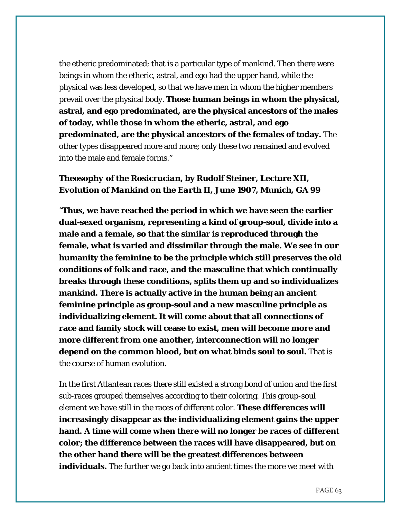the etheric predominated; that is a particular type of mankind. Then there were beings in whom the etheric, astral, and ego had the upper hand, while the physical was less developed, so that we have men in whom the higher members prevail over the physical body. **Those human beings in whom the physical, astral, and ego predominated, are the physical ancestors of the males of today, while those in whom the etheric, astral, and ego predominated, are the physical ancestors of the females of today.** The other types disappeared more and more; only these two remained and evolved into the male and female forms."

#### *Theosophy of the Rosicrucian***, by Rudolf Steiner, Lecture XII,**  *Evolution of Mankind on the Earth II***, June 1907, Munich, GA 99**

"**Thus, we have reached the period in which we have seen the earlier dual-sexed organism, representing a kind of group-soul, divide into a male and a female, so that the similar is reproduced through the female, what is varied and dissimilar through the male. We see in our humanity the feminine to be the principle which still preserves the old conditions of folk and race, and the masculine that which continually breaks through these conditions, splits them up and so individualizes mankind. There is actually active in the human being an ancient feminine principle as group-soul and a new masculine principle as individualizing element. It will come about that all connections of race and family stock will cease to exist, men will become more and more different from one another, interconnection will no longer depend on the common blood, but on what binds soul to soul.** That is the course of human evolution.

In the first Atlantean races there still existed a strong bond of union and the first sub-races grouped themselves according to their coloring. This group-soul element we have still in the races of different color. **These differences will increasingly disappear as the individualizing element gains the upper hand. A time will come when there will no longer be races of different color; the difference between the races will have disappeared, but on the other hand there will be the greatest differences between individuals.** The further we go back into ancient times the more we meet with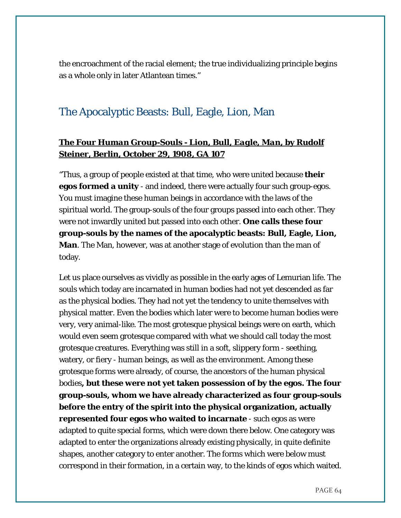the encroachment of the racial element; the true individualizing principle begins as a whole only in later Atlantean times."

### The Apocalyptic Beasts: Bull, Eagle, Lion, Man

#### *The Four Human Group-Souls - Lion, Bull, Eagle, Man***, by Rudolf Steiner, Berlin, October 29, 1908, GA 107**

"Thus, a group of people existed at that time, who were united because **their egos formed a unity** - and indeed, there were actually four such group-egos. You must imagine these human beings in accordance with the laws of the spiritual world. The group-souls of the four groups passed into each other. They were not inwardly united but passed into each other. **One calls these four group-souls by the names of the apocalyptic beasts: Bull, Eagle, Lion, Man**. The Man, however, was at another stage of evolution than the man of today.

Let us place ourselves as vividly as possible in the early ages of Lemurian life. The souls which today are incarnated in human bodies had not yet descended as far as the physical bodies. They had not yet the tendency to unite themselves with physical matter. Even the bodies which later were to become human bodies were very, very animal-like. The most grotesque physical beings were on earth, which would even seem grotesque compared with what we should call today the most grotesque creatures. Everything was still in a soft, slippery form - seething, watery, or fiery - human beings, as well as the environment. Among these grotesque forms were already, of course, the ancestors of the human physical bodies**, but these were not yet taken possession of by the egos. The four group-souls, whom we have already characterized as four group-souls before the entry of the spirit into the physical organization, actually represented four egos who waited to incarnate** - such egos as were adapted to quite special forms, which were down there below. One category was adapted to enter the organizations already existing physically, in quite definite shapes, another category to enter another. The forms which were below must correspond in their formation, in a certain way, to the kinds of egos which waited.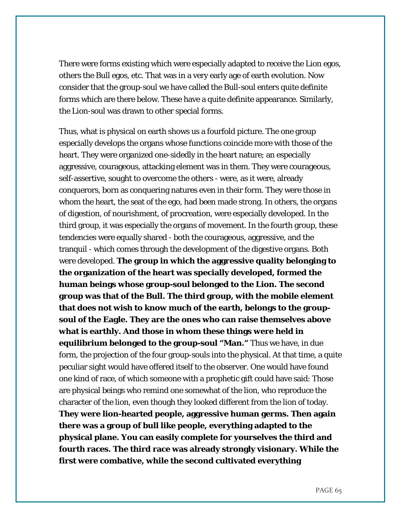There were forms existing which were especially adapted to receive the Lion egos, others the Bull egos, etc. That was in a very early age of earth evolution. Now consider that the group-soul we have called the Bull-soul enters quite definite forms which are there below. These have a quite definite appearance. Similarly, the Lion-soul was drawn to other special forms.

Thus, what is physical on earth shows us a fourfold picture. The one group especially develops the organs whose functions coincide more with those of the heart. They were organized one-sidedly in the heart nature; an especially aggressive, courageous, attacking element was in them. They were courageous, self-assertive, sought to overcome the others - were, as it were, already conquerors, born as conquering natures even in their form. They were those in whom the heart, the seat of the ego, had been made strong. In others, the organs of digestion, of nourishment, of procreation, were especially developed. In the third group, it was especially the organs of movement. In the fourth group, these tendencies were equally shared - both the courageous, aggressive, and the tranquil - which comes through the development of the digestive organs. Both were developed. **The group in which the aggressive quality belonging to the organization of the heart was specially developed, formed the human beings whose group-soul belonged to the Lion. The second group was that of the Bull. The third group, with the mobile element that does not wish to know much of the earth, belongs to the groupsoul of the Eagle. They are the ones who can raise themselves above what is earthly. And those in whom these things were held in equilibrium belonged to the group-soul "Man."** Thus we have, in due form, the projection of the four group-souls into the physical. At that time, a quite peculiar sight would have offered itself to the observer. One would have found one kind of race, of which someone with a prophetic gift could have said: Those are physical beings who remind one somewhat of the lion, who reproduce the character of the lion, even though they looked different from the lion of today. **They were lion-hearted people, aggressive human germs. Then again there was a group of bull like people, everything adapted to the physical plane. You can easily complete for yourselves the third and fourth races. The third race was already strongly visionary. While the first were combative, while the second cultivated everything**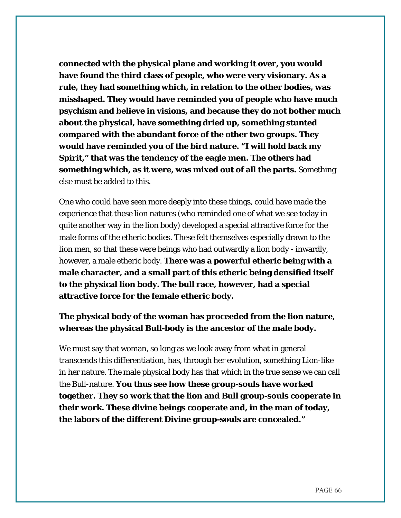**connected with the physical plane and working it over, you would have found the third class of people, who were very visionary. As a rule, they had something which, in relation to the other bodies, was misshaped. They would have reminded you of people who have much psychism and believe in visions, and because they do not bother much about the physical, have something dried up, something stunted compared with the abundant force of the other two groups. They would have reminded you of the bird nature. "I will hold back my Spirit," that was the tendency of the eagle men. The others had something which, as it were, was mixed out of all the parts.** Something else must be added to this.

One who could have seen more deeply into these things, could have made the experience that these lion natures (who reminded one of what we see today in quite another way in the lion body) developed a special attractive force for the male forms of the etheric bodies. These felt themselves especially drawn to the lion men, so that these were beings who had outwardly a lion body - inwardly, however, a male etheric body. **There was a powerful etheric being with a male character, and a small part of this etheric being densified itself to the physical lion body. The bull race, however, had a special attractive force for the female etheric body.**

#### **The physical body of the woman has proceeded from the lion nature, whereas the physical Bull-body is the ancestor of the male body.**

We must say that woman, so long as we look away from what in general transcends this differentiation, has, through her evolution, something Lion-like in her nature. The male physical body has that which in the true sense we can call the Bull-nature. **You thus see how these group-souls have worked together. They so work that the lion and Bull group-souls cooperate in their work. These divine beings cooperate and, in the man of today, the labors of the different Divine group-souls are concealed."**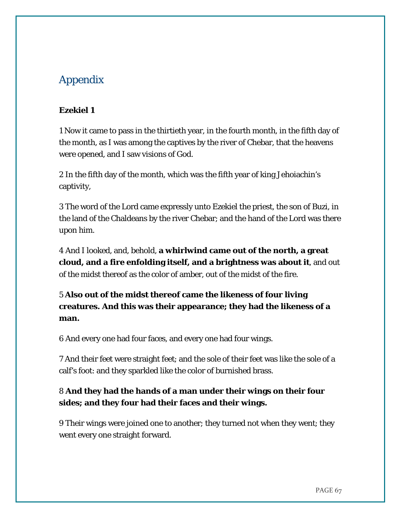# Appendix

#### **Ezekiel 1**

1 Now it came to pass in the thirtieth year, in the fourth month, in the fifth day of the month, as I was among the captives by the river of Chebar, that the heavens were opened, and I saw visions of God.

2 In the fifth day of the month, which was the fifth year of king Jehoiachin's captivity,

3 The word of the Lord came expressly unto Ezekiel the priest, the son of Buzi, in the land of the Chaldeans by the river Chebar; and the hand of the Lord was there upon him.

4 And I looked, and, behold, **a whirlwind came out of the north, a great cloud, and a fire enfolding itself, and a brightness was about it**, and out of the midst thereof as the color of amber, out of the midst of the fire.

5 **Also out of the midst thereof came the likeness of four living creatures. And this was their appearance; they had the likeness of a man.** 

6 And every one had four faces, and every one had four wings.

7 And their feet were straight feet; and the sole of their feet was like the sole of a calf's foot: and they sparkled like the color of burnished brass.

### 8 **And they had the hands of a man under their wings on their four sides; and they four had their faces and their wings.**

9 Their wings were joined one to another; they turned not when they went; they went every one straight forward.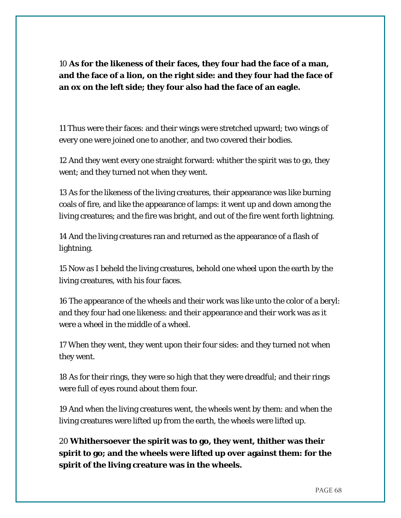10 **As for the likeness of their faces, they four had the face of a man, and the face of a lion, on the right side: and they four had the face of an ox on the left side; they four also had the face of an eagle.** 

11 Thus were their faces: and their wings were stretched upward; two wings of every one were joined one to another, and two covered their bodies.

12 And they went every one straight forward: whither the spirit was to go, they went; and they turned not when they went.

13 As for the likeness of the living creatures, their appearance was like burning coals of fire, and like the appearance of lamps: it went up and down among the living creatures; and the fire was bright, and out of the fire went forth lightning.

14 And the living creatures ran and returned as the appearance of a flash of lightning.

15 Now as I beheld the living creatures, behold one wheel upon the earth by the living creatures, with his four faces.

16 The appearance of the wheels and their work was like unto the color of a beryl: and they four had one likeness: and their appearance and their work was as it were a wheel in the middle of a wheel.

17 When they went, they went upon their four sides: and they turned not when they went.

18 As for their rings, they were so high that they were dreadful; and their rings were full of eyes round about them four.

19 And when the living creatures went, the wheels went by them: and when the living creatures were lifted up from the earth, the wheels were lifted up.

20 **Whithersoever the spirit was to go, they went, thither was their spirit to go; and the wheels were lifted up over against them: for the spirit of the living creature was in the wheels.**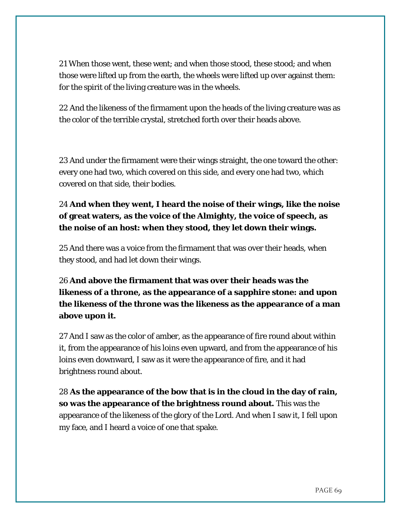21 When those went, these went; and when those stood, these stood; and when those were lifted up from the earth, the wheels were lifted up over against them: for the spirit of the living creature was in the wheels.

22 And the likeness of the firmament upon the heads of the living creature was as the color of the terrible crystal, stretched forth over their heads above.

23 And under the firmament were their wings straight, the one toward the other: every one had two, which covered on this side, and every one had two, which covered on that side, their bodies.

### 24 **And when they went, I heard the noise of their wings, like the noise of great waters, as the voice of the Almighty, the voice of speech, as the noise of an host: when they stood, they let down their wings.**

25 And there was a voice from the firmament that was over their heads, when they stood, and had let down their wings.

26 **And above the firmament that was over their heads was the likeness of a throne, as the appearance of a sapphire stone: and upon the likeness of the throne was the likeness as the appearance of a man above upon it.** 

27 And I saw as the color of amber, as the appearance of fire round about within it, from the appearance of his loins even upward, and from the appearance of his loins even downward, I saw as it were the appearance of fire, and it had brightness round about.

28 **As the appearance of the bow that is in the cloud in the day of rain, so was the appearance of the brightness round about.** This was the appearance of the likeness of the glory of the Lord. And when I saw it, I fell upon my face, and I heard a voice of one that spake.